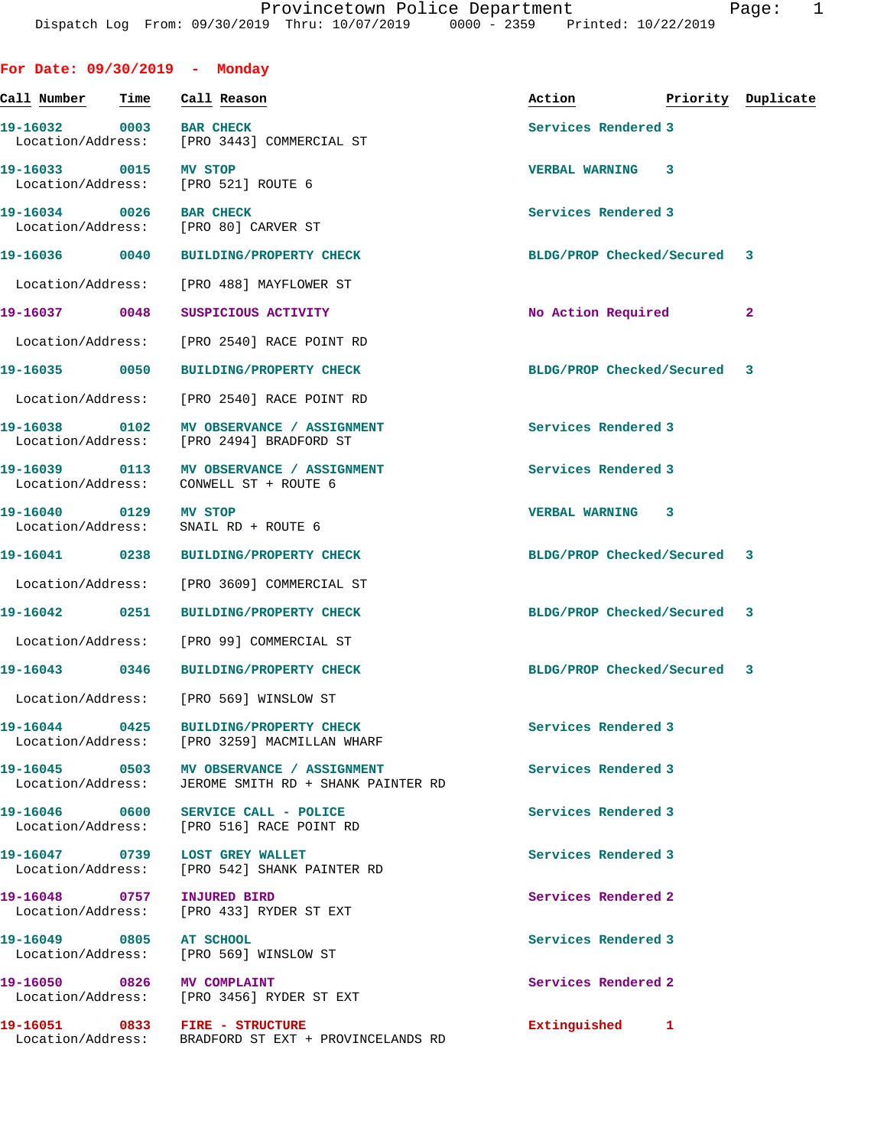**For Date: 09/30/2019 - Monday**

| Call Number                        | Time | Call Reason                                                                                       | Action                       | Priority Duplicate |
|------------------------------------|------|---------------------------------------------------------------------------------------------------|------------------------------|--------------------|
| 19-16032<br>Location/Address:      | 0003 | <b>BAR CHECK</b><br>[PRO 3443] COMMERCIAL ST                                                      | Services Rendered 3          |                    |
| 19-16033<br>Location/Address:      | 0015 | MV STOP<br>[PRO 521] ROUTE 6                                                                      | <b>VERBAL WARNING</b><br>3   |                    |
| 19-16034<br>Location/Address:      | 0026 | <b>BAR CHECK</b><br>[PRO 80] CARVER ST                                                            | Services Rendered 3          |                    |
| 19-16036                           | 0040 | <b>BUILDING/PROPERTY CHECK</b>                                                                    | BLDG/PROP Checked/Secured    | 3                  |
| Location/Address:                  |      | [PRO 488] MAYFLOWER ST                                                                            |                              |                    |
| 19-16037 0048                      |      | SUSPICIOUS ACTIVITY                                                                               | No Action Required           | $\mathbf{2}$       |
| Location/Address:                  |      | [PRO 2540] RACE POINT RD                                                                          |                              |                    |
| 19-16035 0050                      |      | <b>BUILDING/PROPERTY CHECK</b>                                                                    | BLDG/PROP Checked/Secured    | 3                  |
| Location/Address:                  |      | [PRO 2540] RACE POINT RD                                                                          |                              |                    |
| 19-16038 0102<br>Location/Address: |      | MV OBSERVANCE / ASSIGNMENT<br>[PRO 2494] BRADFORD ST                                              | Services Rendered 3          |                    |
| 19-16039<br>Location/Address:      | 0113 | MV OBSERVANCE / ASSIGNMENT<br>CONWELL ST + ROUTE 6                                                | Services Rendered 3          |                    |
| 19-16040 0129<br>Location/Address: |      | MV STOP<br>SNAIL RD + ROUTE 6                                                                     | <b>VERBAL WARNING</b><br>3   |                    |
| 19-16041 0238                      |      | <b>BUILDING/PROPERTY CHECK</b>                                                                    | BLDG/PROP Checked/Secured    | 3                  |
| Location/Address:                  |      | [PRO 3609] COMMERCIAL ST                                                                          |                              |                    |
| 19-16042 0251                      |      | <b>BUILDING/PROPERTY CHECK</b>                                                                    | BLDG/PROP Checked/Secured 3  |                    |
| Location/Address:                  |      | [PRO 99] COMMERCIAL ST                                                                            |                              |                    |
| 19-16043                           | 0346 | <b>BUILDING/PROPERTY CHECK</b>                                                                    | BLDG/PROP Checked/Secured    | 3                  |
| Location/Address:                  |      | [PRO 569] WINSLOW ST                                                                              |                              |                    |
|                                    |      | 19-16044 0425 BUILDING/PROPERTY CHECK<br>Location/Address: [PRO 3259] MACMILLAN WHARF             | Services Rendered 3          |                    |
|                                    |      | 19-16045  0503 MV OBSERVANCE / ASSIGNMENT<br>Location/Address: JEROME SMITH RD + SHANK PAINTER RD | Services Rendered 3          |                    |
|                                    |      | 19-16046 0600 SERVICE CALL - POLICE<br>Location/Address: [PRO 516] RACE POINT RD                  | Services Rendered 3          |                    |
|                                    |      | 19-16047 0739 LOST GREY WALLET<br>Location/Address: [PRO 542] SHANK PAINTER RD                    | Services Rendered 3          |                    |
| 19-16048 0757                      |      | <b>INJURED BIRD</b><br>Location/Address: [PRO 433] RYDER ST EXT                                   | Services Rendered 2          |                    |
| 19-16049 0805 AT SCHOOL            |      | Location/Address: [PRO 569] WINSLOW ST                                                            | Services Rendered 3          |                    |
|                                    |      | 19-16050 0826 MV COMPLAINT<br>Location/Address: [PRO 3456] RYDER ST EXT                           | Services Rendered 2          |                    |
|                                    |      | 19-16051 0833 FIRE - STRUCTURE<br>Location/Address: BRADFORD ST EXT + PROVINCELANDS RD            | Extinguished<br>$\mathbf{1}$ |                    |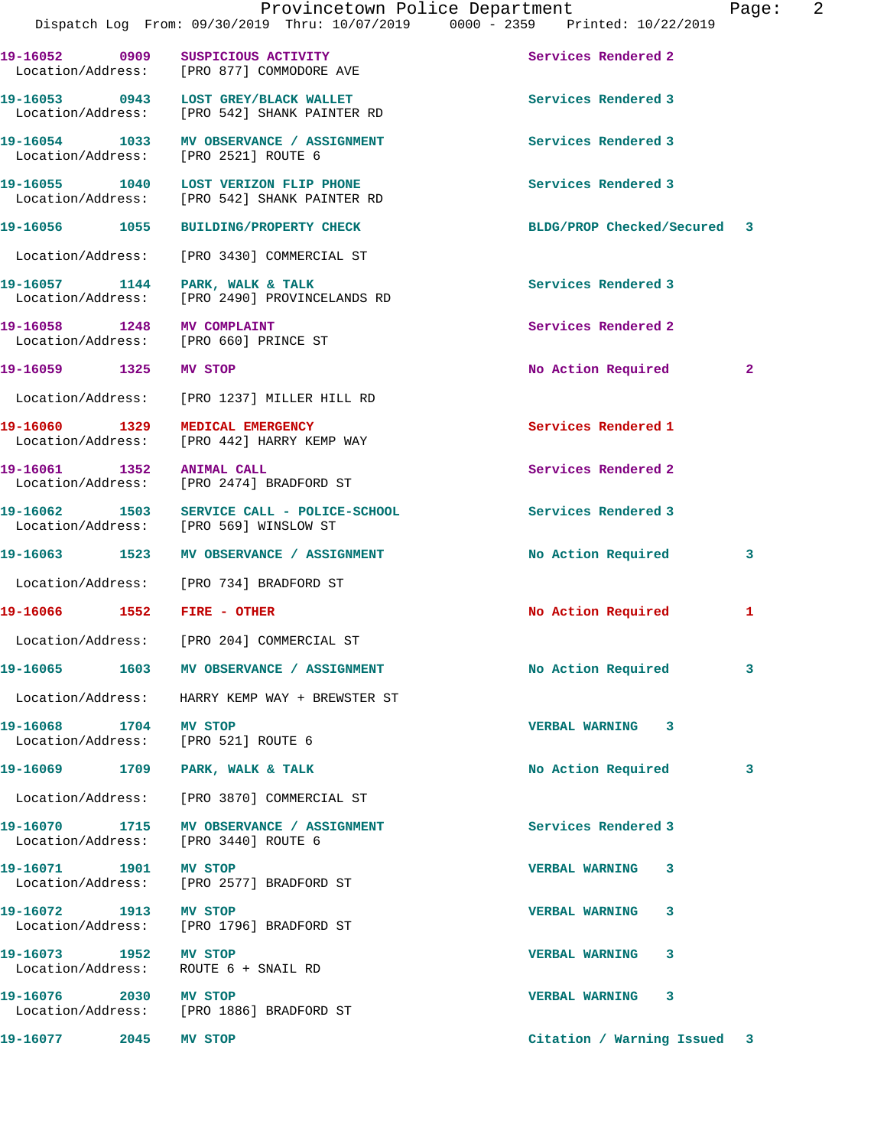|                            | Provincetown Police Department<br>Dispatch Log From: 09/30/2019 Thru: 10/07/2019 0000 - 2359 Printed: 10/22/2019 |                             | 2<br>Page:   |
|----------------------------|------------------------------------------------------------------------------------------------------------------|-----------------------------|--------------|
|                            | 19-16052 0909 SUSPICIOUS ACTIVITY<br>Location/Address: [PRO 877] COMMODORE AVE                                   | Services Rendered 2         |              |
|                            | 19-16053 0943 LOST GREY/BLACK WALLET<br>Location/Address: [PRO 542] SHANK PAINTER RD                             | Services Rendered 3         |              |
|                            | 19-16054 1033 MV OBSERVANCE / ASSIGNMENT<br>Location/Address: [PRO 2521] ROUTE 6                                 | Services Rendered 3         |              |
|                            | 19-16055 1040 LOST VERIZON FLIP PHONE<br>Location/Address: [PRO 542] SHANK PAINTER RD                            | Services Rendered 3         |              |
|                            | 19-16056 1055 BUILDING/PROPERTY CHECK                                                                            | BLDG/PROP Checked/Secured 3 |              |
|                            | Location/Address: [PRO 3430] COMMERCIAL ST                                                                       |                             |              |
|                            | 19-16057 1144 PARK, WALK & TALK<br>Location/Address: [PRO 2490] PROVINCELANDS RD                                 | Services Rendered 3         |              |
|                            | 19-16058 1248 MV COMPLAINT<br>Location/Address: [PRO 660] PRINCE ST                                              | Services Rendered 2         |              |
| 19-16059 1325 MV STOP      |                                                                                                                  | No Action Required          | $\mathbf{2}$ |
|                            | Location/Address: [PRO 1237] MILLER HILL RD                                                                      |                             |              |
|                            | 19-16060 1329 MEDICAL EMERGENCY<br>Location/Address: [PRO 442] HARRY KEMP WAY                                    | Services Rendered 1         |              |
| 19-16061 1352 ANIMAL CALL  | Location/Address: [PRO 2474] BRADFORD ST                                                                         | Services Rendered 2         |              |
|                            | 19-16062 1503 SERVICE CALL - POLICE-SCHOOL<br>Location/Address: [PRO 569] WINSLOW ST                             | Services Rendered 3         |              |
|                            | 19-16063 1523 MV OBSERVANCE / ASSIGNMENT                                                                         | No Action Required          | 3            |
|                            | Location/Address: [PRO 734] BRADFORD ST                                                                          |                             |              |
| 19-16066 1552 FIRE - OTHER |                                                                                                                  | No Action Required          | 1            |
|                            | Location/Address: [PRO 204] COMMERCIAL ST                                                                        |                             |              |
|                            | 19-16065 1603 MV OBSERVANCE / ASSIGNMENT                                                                         | No Action Required          | 3            |
|                            | Location/Address: HARRY KEMP WAY + BREWSTER ST                                                                   |                             |              |
| 19-16068 1704 MV STOP      | Location/Address: [PRO 521] ROUTE 6                                                                              | VERBAL WARNING 3            |              |
|                            | 19-16069 1709 PARK, WALK & TALK                                                                                  | No Action Required          | 3            |
|                            | Location/Address: [PRO 3870] COMMERCIAL ST                                                                       |                             |              |
|                            | 19-16070 1715 MV OBSERVANCE / ASSIGNMENT<br>Location/Address: [PRO 3440] ROUTE 6                                 | Services Rendered 3         |              |
| 19-16071 1901 MV STOP      | Location/Address: [PRO 2577] BRADFORD ST                                                                         | VERBAL WARNING 3            |              |
| 19-16072 1913 MV STOP      | Location/Address: [PRO 1796] BRADFORD ST                                                                         | VERBAL WARNING 3            |              |
| 19-16073 1952 MV STOP      | Location/Address: ROUTE 6 + SNAIL RD                                                                             | VERBAL WARNING 3            |              |
| 19-16076 2030 MV STOP      | Location/Address: [PRO 1886] BRADFORD ST                                                                         | VERBAL WARNING 3            |              |
| 19-16077 2045              | MV STOP                                                                                                          | Citation / Warning Issued 3 |              |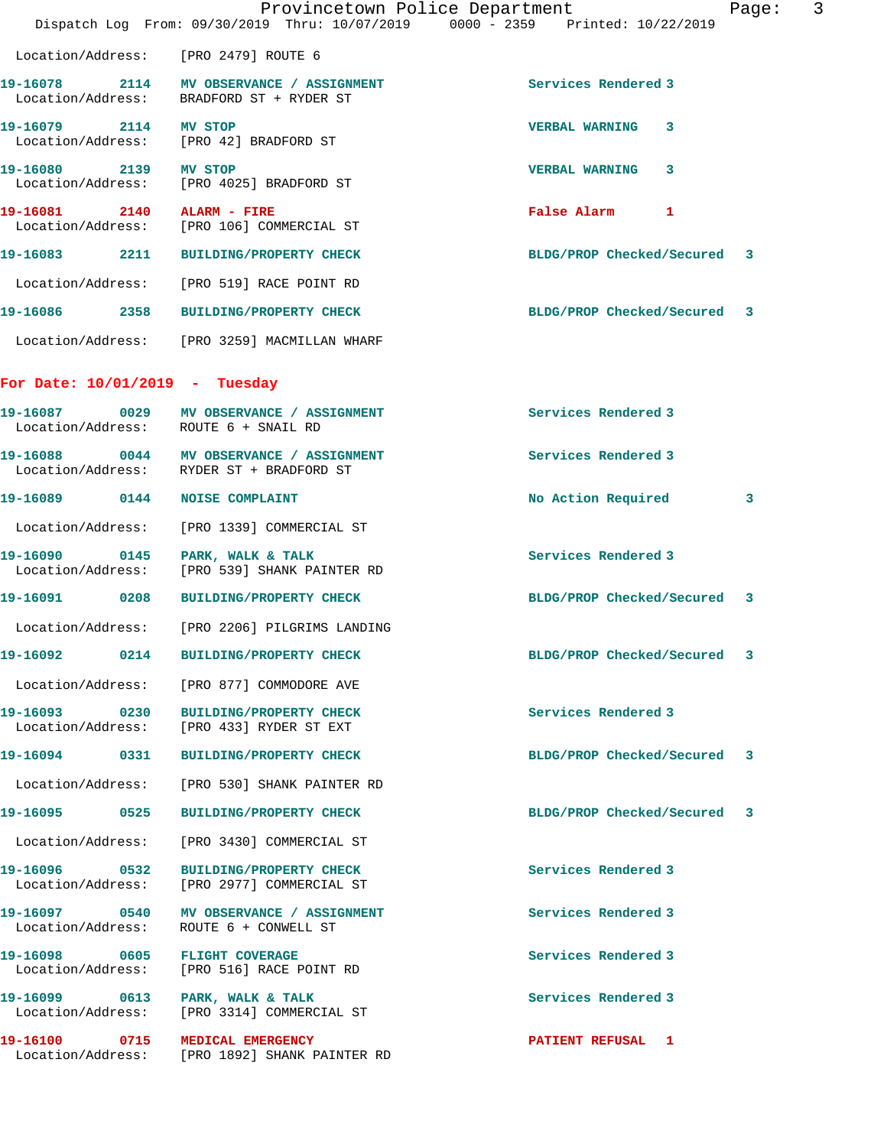|                                  |                                                                                      | Provincetown Police Department<br>Page:                                        | $\overline{3}$ |
|----------------------------------|--------------------------------------------------------------------------------------|--------------------------------------------------------------------------------|----------------|
|                                  |                                                                                      | Dispatch Log From: 09/30/2019 Thru: 10/07/2019 0000 - 2359 Printed: 10/22/2019 |                |
|                                  | Location/Address: [PRO 2479] ROUTE 6                                                 |                                                                                |                |
|                                  | 19-16078 2114 MV OBSERVANCE / ASSIGNMENT<br>Location/Address: BRADFORD ST + RYDER ST | Services Rendered 3                                                            |                |
| 19-16079 2114 MV STOP            | Location/Address: [PRO 42] BRADFORD ST                                               | <b>VERBAL WARNING</b><br>$\mathbf{3}$                                          |                |
| 19-16080 2139 MV STOP            | Location/Address: [PRO 4025] BRADFORD ST                                             | <b>VERBAL WARNING</b><br>3                                                     |                |
| 19-16081 2140 ALARM - FIRE       | Location/Address: [PRO 106] COMMERCIAL ST                                            | False Alarm<br>$\mathbf{1}$                                                    |                |
|                                  | 19-16083 2211 BUILDING/PROPERTY CHECK                                                | BLDG/PROP Checked/Secured 3                                                    |                |
|                                  | Location/Address: [PRO 519] RACE POINT RD                                            |                                                                                |                |
|                                  | 19-16086 2358 BUILDING/PROPERTY CHECK                                                | BLDG/PROP Checked/Secured 3                                                    |                |
|                                  | Location/Address: [PRO 3259] MACMILLAN WHARF                                         |                                                                                |                |
| For Date: $10/01/2019$ - Tuesday |                                                                                      |                                                                                |                |
|                                  | Location/Address: ROUTE 6 + SNAIL RD                                                 | Services Rendered 3                                                            |                |
|                                  | 19-16088 0044 MV OBSERVANCE / ASSIGNMENT<br>Location/Address: RYDER ST + BRADFORD ST | Services Rendered 3                                                            |                |
| 19-16089 0144 NOISE COMPLAINT    |                                                                                      | No Action Required<br>3                                                        |                |
|                                  | Location/Address: [PRO 1339] COMMERCIAL ST                                           |                                                                                |                |
| 19-16090                         | 0145 PARK, WALK & TALK<br>Location/Address: [PRO 539] SHANK PAINTER RD               | Services Rendered 3                                                            |                |
|                                  | 19-16091 0208 BUILDING/PROPERTY CHECK                                                | BLDG/PROP Checked/Secured 3                                                    |                |
|                                  | Location/Address: [PRO 2206] PILGRIMS LANDING                                        |                                                                                |                |
|                                  | 19-16092  0214 BUILDING/PROPERTY CHECK                                               | BLDG/PROP Checked/Secured 3                                                    |                |
|                                  | Location/Address: [PRO 877] COMMODORE AVE                                            |                                                                                |                |
|                                  | 19-16093 0230 BUILDING/PROPERTY CHECK<br>Location/Address: [PRO 433] RYDER ST EXT    | Services Rendered 3                                                            |                |
|                                  | 19-16094 0331 BUILDING/PROPERTY CHECK                                                | BLDG/PROP Checked/Secured 3                                                    |                |
|                                  | Location/Address: [PRO 530] SHANK PAINTER RD                                         |                                                                                |                |
|                                  |                                                                                      | BLDG/PROP Checked/Secured 3                                                    |                |
|                                  | Location/Address: [PRO 3430] COMMERCIAL ST                                           |                                                                                |                |
| Location/Address:                | 19-16096 0532 BUILDING/PROPERTY CHECK<br>[PRO 2977] COMMERCIAL ST                    | Services Rendered 3                                                            |                |
| Location/Address:                | 19-16097 0540 MV OBSERVANCE / ASSIGNMENT<br>ROUTE 6 + CONWELL ST                     | Services Rendered 3                                                            |                |
| Location/Address:                | 19-16098 0605 FLIGHT COVERAGE<br>[PRO 516] RACE POINT RD                             | Services Rendered 3                                                            |                |
|                                  | 19-16099 0613 PARK, WALK & TALK<br>Location/Address: [PRO 3314] COMMERCIAL ST        | Services Rendered 3                                                            |                |
|                                  | 19-16100 0715 MEDICAL EMERGENCY<br>Location/Address: [PRO 1892] SHANK PAINTER RD     | <b>PATIENT REFUSAL 1</b>                                                       |                |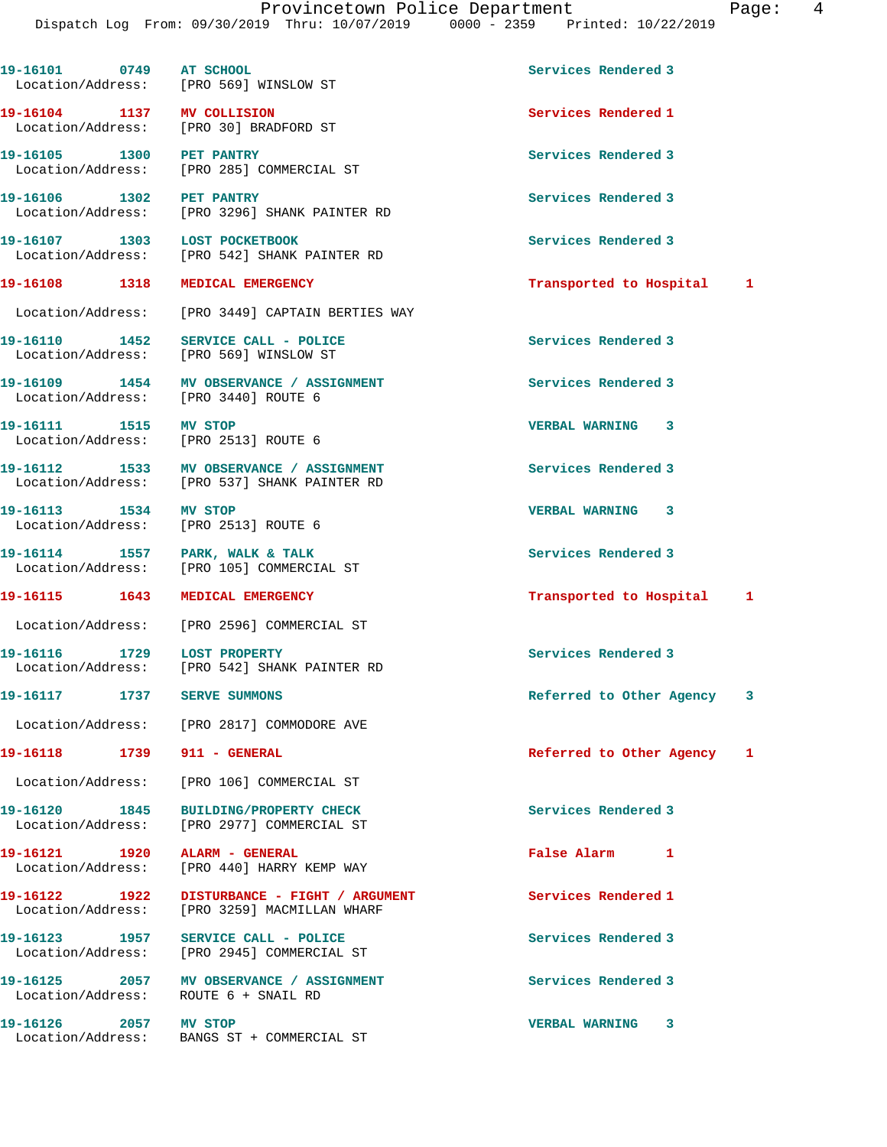|                                                               | Dispatch Log From: 09/30/2019 Thru: 10/07/2019 0000 - 2359 Printed: 10/22/2019           |                            |   |
|---------------------------------------------------------------|------------------------------------------------------------------------------------------|----------------------------|---|
| 19-16101 0749 AT SCHOOL                                       | Location/Address: [PRO 569] WINSLOW ST                                                   | Services Rendered 3        |   |
| 19-16104 1137 MV COLLISION                                    | Location/Address: [PRO 30] BRADFORD ST                                                   | Services Rendered 1        |   |
| 19-16105 1300 PET PANTRY                                      | Location/Address: [PRO 285] COMMERCIAL ST                                                | Services Rendered 3        |   |
| 19-16106 1302 PET PANTRY                                      | Location/Address: [PRO 3296] SHANK PAINTER RD                                            | Services Rendered 3        |   |
| 19-16107 1303 LOST POCKETBOOK                                 | Location/Address: [PRO 542] SHANK PAINTER RD                                             | Services Rendered 3        |   |
| 19-16108 1318 MEDICAL EMERGENCY                               |                                                                                          | Transported to Hospital 1  |   |
|                                                               | Location/Address: [PRO 3449] CAPTAIN BERTIES WAY                                         |                            |   |
|                                                               | 19-16110 1452 SERVICE CALL - POLICE<br>Location/Address: [PRO 569] WINSLOW ST            | Services Rendered 3        |   |
| Location/Address: [PRO 3440] ROUTE 6                          | 19-16109 1454 MV OBSERVANCE / ASSIGNMENT                                                 | Services Rendered 3        |   |
| 19-16111 1515 MV STOP<br>Location/Address: [PRO 2513] ROUTE 6 |                                                                                          | <b>VERBAL WARNING 3</b>    |   |
|                                                               | 19-16112 1533 MV OBSERVANCE / ASSIGNMENT<br>Location/Address: [PRO 537] SHANK PAINTER RD | Services Rendered 3        |   |
| 19-16113 1534 MV STOP<br>Location/Address: [PRO 2513] ROUTE 6 |                                                                                          | <b>VERBAL WARNING 3</b>    |   |
| 19-16114 1557 PARK, WALK & TALK                               | Location/Address: [PRO 105] COMMERCIAL ST                                                | Services Rendered 3        |   |
| 19-16115 1643                                                 | <b>MEDICAL EMERGENCY</b>                                                                 | Transported to Hospital    | 1 |
|                                                               | Location/Address: [PRO 2596] COMMERCIAL ST                                               |                            |   |
| 19-16116 1729                                                 | <b>LOST PROPERTY</b><br>Location/Address: [PRO 542] SHANK PAINTER RD                     | Services Rendered 3        |   |
| 19-16117 1737 SERVE SUMMONS                                   |                                                                                          | Referred to Other Agency 3 |   |
|                                                               | Location/Address: [PRO 2817] COMMODORE AVE                                               |                            |   |
| 19-16118    1739    911 - GENERAL                             |                                                                                          | Referred to Other Agency 1 |   |
|                                                               | Location/Address: [PRO 106] COMMERCIAL ST                                                |                            |   |
|                                                               | 19-16120 1845 BUILDING/PROPERTY CHECK<br>Location/Address: [PRO 2977] COMMERCIAL ST      | Services Rendered 3        |   |
| 19-16121 1920 ALARM - GENERAL                                 | Location/Address: [PRO 440] HARRY KEMP WAY                                               | False Alarm 1              |   |
|                                                               | Location/Address: [PRO 3259] MACMILLAN WHARF                                             | Services Rendered 1        |   |
|                                                               | 19-16123 1957 SERVICE CALL - POLICE<br>Location/Address: [PRO 2945] COMMERCIAL ST        | Services Rendered 3        |   |
| Location/Address: ROUTE 6 + SNAIL RD                          | 19-16125 2057 MV OBSERVANCE / ASSIGNMENT                                                 | Services Rendered 3        |   |
| 19-16126 2057 MV STOP                                         | Location/Address: BANGS ST + COMMERCIAL ST                                               | <b>VERBAL WARNING 3</b>    |   |
|                                                               |                                                                                          |                            |   |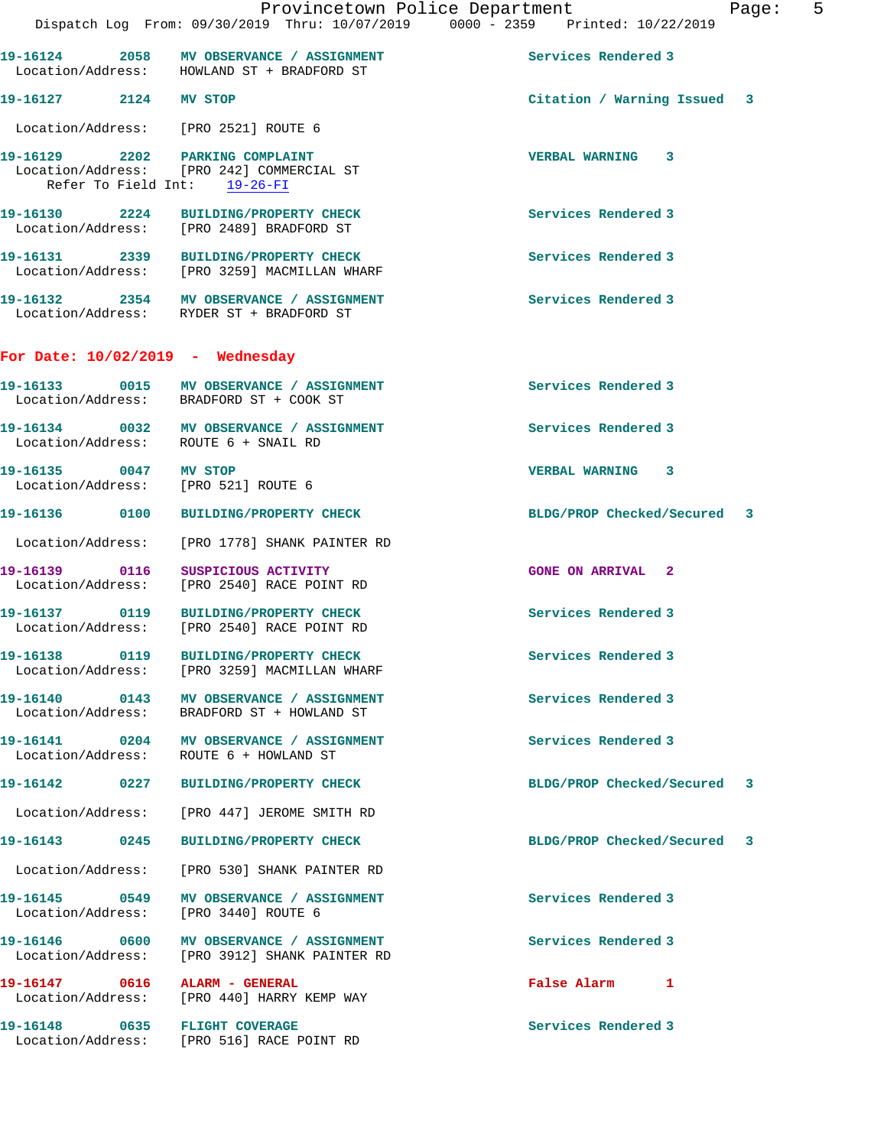|                                    | 19-16124 2058 MV OBSERVANCE / ASSIGNMENT<br>Location/Address: HOWLAND ST + BRADFORD ST                       | Services Rendered 3         |  |
|------------------------------------|--------------------------------------------------------------------------------------------------------------|-----------------------------|--|
| 19-16127 2124 MV STOP              |                                                                                                              | Citation / Warning Issued 3 |  |
|                                    | Location/Address: [PRO 2521] ROUTE 6                                                                         |                             |  |
|                                    | 19-16129 2202 PARKING COMPLAINT<br>Location/Address: [PRO 242] COMMERCIAL ST<br>Refer To Field Int: 19-26-FI | <b>VERBAL WARNING 3</b>     |  |
|                                    | 19-16130 2224 BUILDING/PROPERTY CHECK<br>Location/Address: [PRO 2489] BRADFORD ST                            | Services Rendered 3         |  |
|                                    | 19-16131 2339 BUILDING/PROPERTY CHECK<br>Location/Address: [PRO 3259] MACMILLAN WHARF                        | Services Rendered 3         |  |
|                                    | 19-16132 2354 MV OBSERVANCE / ASSIGNMENT<br>Location/Address: RYDER ST + BRADFORD ST                         | Services Rendered 3         |  |
| For Date: $10/02/2019$ - Wednesday |                                                                                                              |                             |  |
|                                    | 19-16133 0015 MV OBSERVANCE / ASSIGNMENT<br>Location/Address: BRADFORD ST + COOK ST                          | Services Rendered 3         |  |
|                                    | 19-16134 0032 MV OBSERVANCE / ASSIGNMENT<br>Location/Address: ROUTE 6 + SNAIL RD                             | Services Rendered 3         |  |
|                                    | 19-16135 0047 MV STOP<br>Location/Address: [PRO 521] ROUTE 6                                                 | VERBAL WARNING 3            |  |
|                                    | 19-16136  0100 BUILDING/PROPERTY CHECK                                                                       | BLDG/PROP Checked/Secured 3 |  |
|                                    | Location/Address: [PRO 1778] SHANK PAINTER RD                                                                |                             |  |
| 19-16139 0116                      | SUSPICIOUS ACTIVITY<br>Location/Address: [PRO 2540] RACE POINT RD                                            | <b>GONE ON ARRIVAL 2</b>    |  |
|                                    | 19-16137 0119 BUILDING/PROPERTY CHECK<br>Location/Address: [PRO 2540] RACE POINT RD                          | Services Rendered 3         |  |
|                                    | 19-16138 0119 BUILDING/PROPERTY CHECK<br>Location/Address: [PRO 3259] MACMILLAN WHARF                        | Services Rendered 3         |  |
|                                    | 19-16140 0143 MV OBSERVANCE / ASSIGNMENT<br>Location/Address: BRADFORD ST + HOWLAND ST                       | Services Rendered 3         |  |
|                                    | 19-16141 0204 MV OBSERVANCE / ASSIGNMENT<br>Location/Address: ROUTE 6 + HOWLAND ST                           | Services Rendered 3         |  |
|                                    | 19-16142 0227 BUILDING/PROPERTY CHECK                                                                        | BLDG/PROP Checked/Secured 3 |  |
|                                    | Location/Address: [PRO 447] JEROME SMITH RD                                                                  |                             |  |
|                                    | 19-16143 0245 BUILDING/PROPERTY CHECK                                                                        | BLDG/PROP Checked/Secured 3 |  |
|                                    | Location/Address: [PRO 530] SHANK PAINTER RD                                                                 |                             |  |
|                                    | 19-16145 0549 MV OBSERVANCE / ASSIGNMENT<br>Location/Address: [PRO 3440] ROUTE 6                             | Services Rendered 3         |  |
|                                    | 19-16146   0600   MV   OBSERVANCE / ASSIGNMENT<br>Location/Address: [PRO 3912] SHANK PAINTER RD              | Services Rendered 3         |  |
| 19-16147 0616 ALARM - GENERAL      | Location/Address: [PRO 440] HARRY KEMP WAY                                                                   | False Alarm 1               |  |
| 19-16148 0635 FLIGHT COVERAGE      |                                                                                                              | Services Rendered 3         |  |

Location/Address: [PRO 516] RACE POINT RD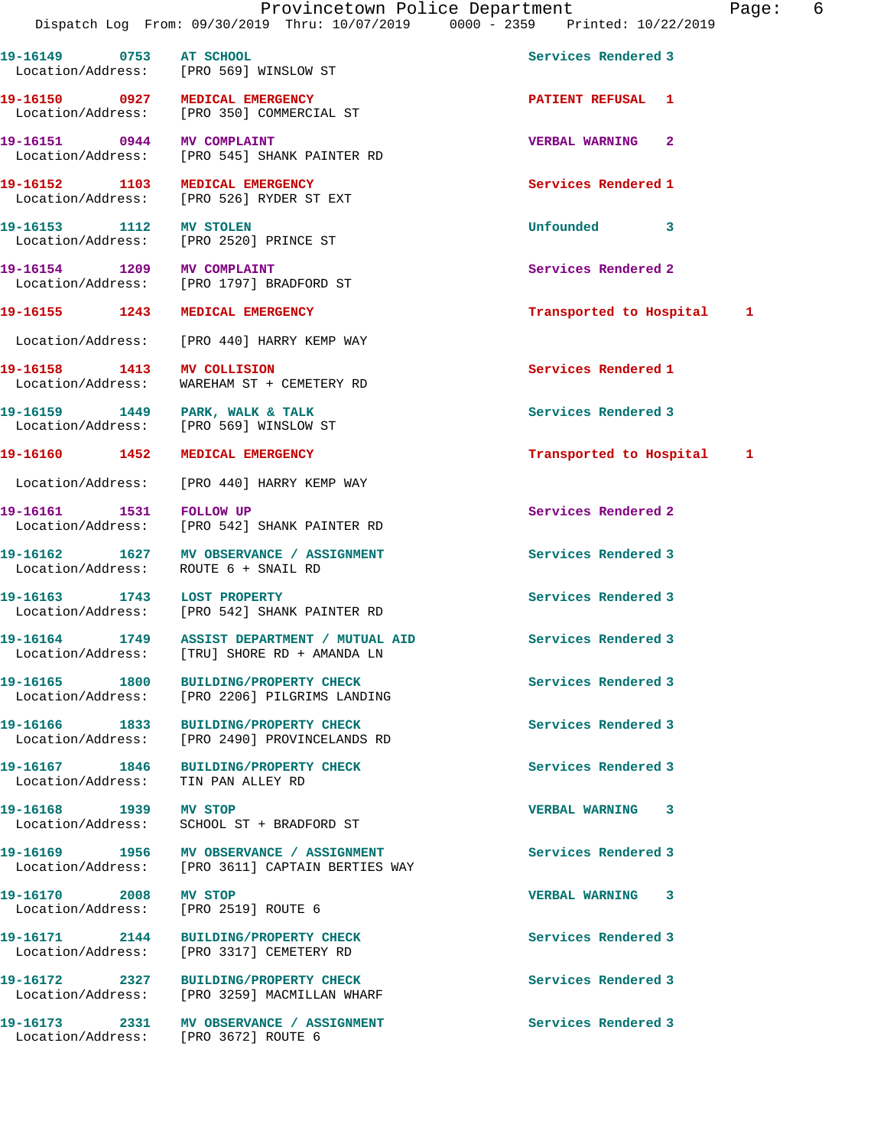**19-16149 0753 AT SCHOOL Services Rendered 3**  Location/Address: [PRO 569] WINSLOW ST **19-16150 0927 MEDICAL EMERGENCY PATIENT REFUSAL 1**  Location/Address: [PRO 350] COMMERCIAL ST **19-16151 0944 MV COMPLAINT VERBAL WARNING 2**  Location/Address: [PRO 545] SHANK PAINTER RD **19-16152 1103 MEDICAL EMERGENCY Services Rendered 1**  Location/Address: [PRO 526] RYDER ST EXT **19-16153 1112 MV STOLEN Unfounded 3**  Location/Address: [PRO 2520] PRINCE ST **19-16154** 1209 MV COMPLAINT 10 2000 1000 Services Rendered 2 Location/Address: [PRO 1797] BRADFORD ST **19-16155 1243 MEDICAL EMERGENCY Transported to Hospital 1** Location/Address: [PRO 440] HARRY KEMP WAY **19-16158 1413 MV COLLISION Services Rendered 1**  Location/Address: WAREHAM ST + CEMETERY RD **19-16159 1449 PARK, WALK & TALK Services Rendered 3**  Location/Address: **19-16160 1452 MEDICAL EMERGENCY Transported to Hospital 1** Location/Address: [PRO 440] HARRY KEMP WAY 19-16161 1531 FOLLOW UP **Services Rendered 2**  Location/Address: [PRO 542] SHANK PAINTER RD **19-16162 1627 MV OBSERVANCE / ASSIGNMENT Services Rendered 3**  Location/Address: ROUTE 6 + SNAIL RD **19-16163 1743 LOST PROPERTY Services Rendered 3**  Location/Address: [PRO 542] SHANK PAINTER RD **19-16164 1749 ASSIST DEPARTMENT / MUTUAL AID Services Rendered 3**  Location/Address: [TRU] SHORE RD + AMANDA LN 19-16165 1800 BUILDING/PROPERTY CHECK **1800 Services** Rendered 3 Location/Address: [PRO 2206] PILGRIMS LANDING **19-16166 1833 BUILDING/PROPERTY CHECK Services Rendered 3**  Location/Address: [PRO 2490] PROVINCELANDS RD **19-16167 1846 BUILDING/PROPERTY CHECK Services Rendered 3**  Location/Address: TIN PAN ALLEY RD **19-16168 1939 MV STOP VERBAL WARNING 3**  Location/Address: SCHOOL ST + BRADFORD ST 19-16169 1956 MV OBSERVANCE / ASSIGNMENT **Services Rendered 3**  Location/Address: [PRO 3611] CAPTAIN BERTIES WAY **19-16170 2008 MV STOP VERBAL WARNING 3**  Location/Address: [PRO 2519] ROUTE 6 **19-16171 2144 BUILDING/PROPERTY CHECK Services Rendered 3**  Location/Address: [PRO 3317] CEMETERY RD **19-16172 2327 BUILDING/PROPERTY CHECK Services Rendered 3**  Location/Address: [PRO 3259] MACMILLAN WHARF 19-16173 2331 MV OBSERVANCE / ASSIGNMENT Services Rendered 3 Location/Address: [PRO 3672] ROUTE 6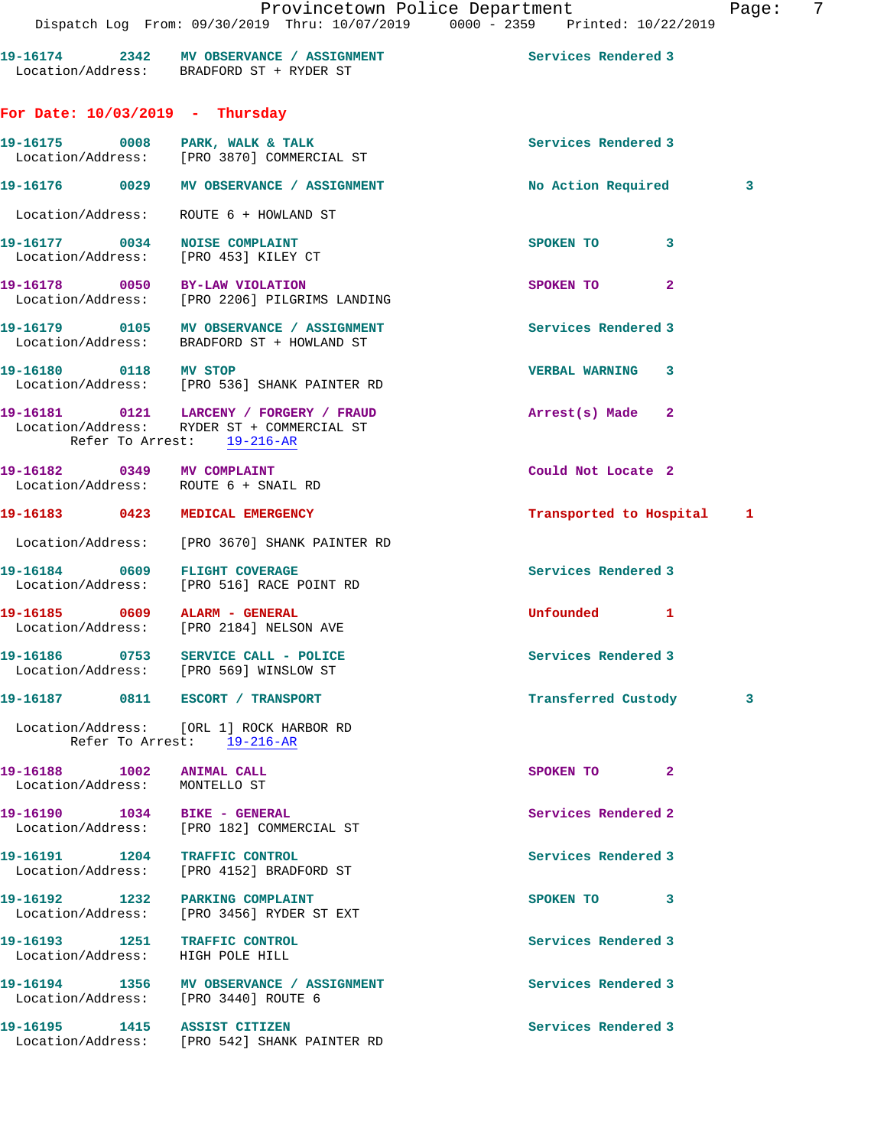|                                                                    | 19-16174 2342 MV OBSERVANCE / ASSIGNMENT<br>Location/Address: BRADFORD ST + RYDER ST                                  | Services Rendered 3       |   |
|--------------------------------------------------------------------|-----------------------------------------------------------------------------------------------------------------------|---------------------------|---|
| For Date: $10/03/2019$ - Thursday                                  |                                                                                                                       |                           |   |
|                                                                    | 19-16175 0008 PARK, WALK & TALK<br>Location/Address: [PRO 3870] COMMERCIAL ST                                         | Services Rendered 3       |   |
|                                                                    | 19-16176 0029 MV OBSERVANCE / ASSIGNMENT                                                                              | No Action Required        | 3 |
|                                                                    | Location/Address: ROUTE 6 + HOWLAND ST                                                                                |                           |   |
|                                                                    | 19-16177 0034 NOISE COMPLAINT<br>Location/Address: [PRO 453] KILEY CT                                                 | SPOKEN TO<br>3            |   |
|                                                                    | 19-16178   0050   BY-LAW VIOLATION<br>Location/Address: [PRO 2206] PILGRIMS LANDING                                   | SPOKEN TO<br>$\mathbf{2}$ |   |
|                                                                    |                                                                                                                       | Services Rendered 3       |   |
| 19-16180 0118 MV STOP                                              | Location/Address: [PRO 536] SHANK PAINTER RD                                                                          | VERBAL WARNING 3          |   |
|                                                                    | 19-16181  0121  LARCENY / FORGERY / FRAUD<br>Location/Address: RYDER ST + COMMERCIAL ST<br>Refer To Arrest: 19-216-AR | Arrest(s) Made 2          |   |
| 19-16182 0349 MV COMPLAINT<br>Location/Address: ROUTE 6 + SNAIL RD |                                                                                                                       | Could Not Locate 2        |   |
| 19-16183 0423 MEDICAL EMERGENCY                                    |                                                                                                                       | Transported to Hospital 1 |   |
|                                                                    | Location/Address: [PRO 3670] SHANK PAINTER RD                                                                         |                           |   |
|                                                                    | 19-16184 0609 FLIGHT COVERAGE<br>Location/Address: [PRO 516] RACE POINT RD                                            | Services Rendered 3       |   |
| 19-16185 0609 ALARM - GENERAL                                      | Location/Address: [PRO 2184] NELSON AVE                                                                               | Unfounded 1               |   |
|                                                                    | 19-16186 0753 SERVICE CALL - POLICE<br>Location/Address: [PRO 569] WINSLOW ST                                         | Services Rendered 3       |   |
| 19-16187 0811 ESCORT / TRANSPORT                                   |                                                                                                                       | Transferred Custody       | 3 |
|                                                                    | Location/Address: [ORL 1] ROCK HARBOR RD<br>Refer To Arrest: 19-216-AR                                                |                           |   |
| 19-16188 1002 ANIMAL CALL<br>Location/Address: MONTELLO ST         |                                                                                                                       | SPOKEN TO<br>$\mathbf{2}$ |   |
| 19-16190 1034 BIKE - GENERAL                                       | Location/Address: [PRO 182] COMMERCIAL ST                                                                             | Services Rendered 2       |   |
| 19-16191 1204 TRAFFIC CONTROL                                      | Location/Address: [PRO 4152] BRADFORD ST                                                                              | Services Rendered 3       |   |
| 19-16192 1232 PARKING COMPLAINT                                    | Location/Address: [PRO 3456] RYDER ST EXT                                                                             | 3<br>SPOKEN TO            |   |
| 19-16193 1251 TRAFFIC CONTROL<br>Location/Address: HIGH POLE HILL  |                                                                                                                       | Services Rendered 3       |   |
| Location/Address: [PRO 3440] ROUTE 6                               | 19-16194 1356 MV OBSERVANCE / ASSIGNMENT                                                                              | Services Rendered 3       |   |

**19-16195 1415 ASSIST CITIZEN Services Rendered 3**  Location/Address: [PRO 542] SHANK PAINTER RD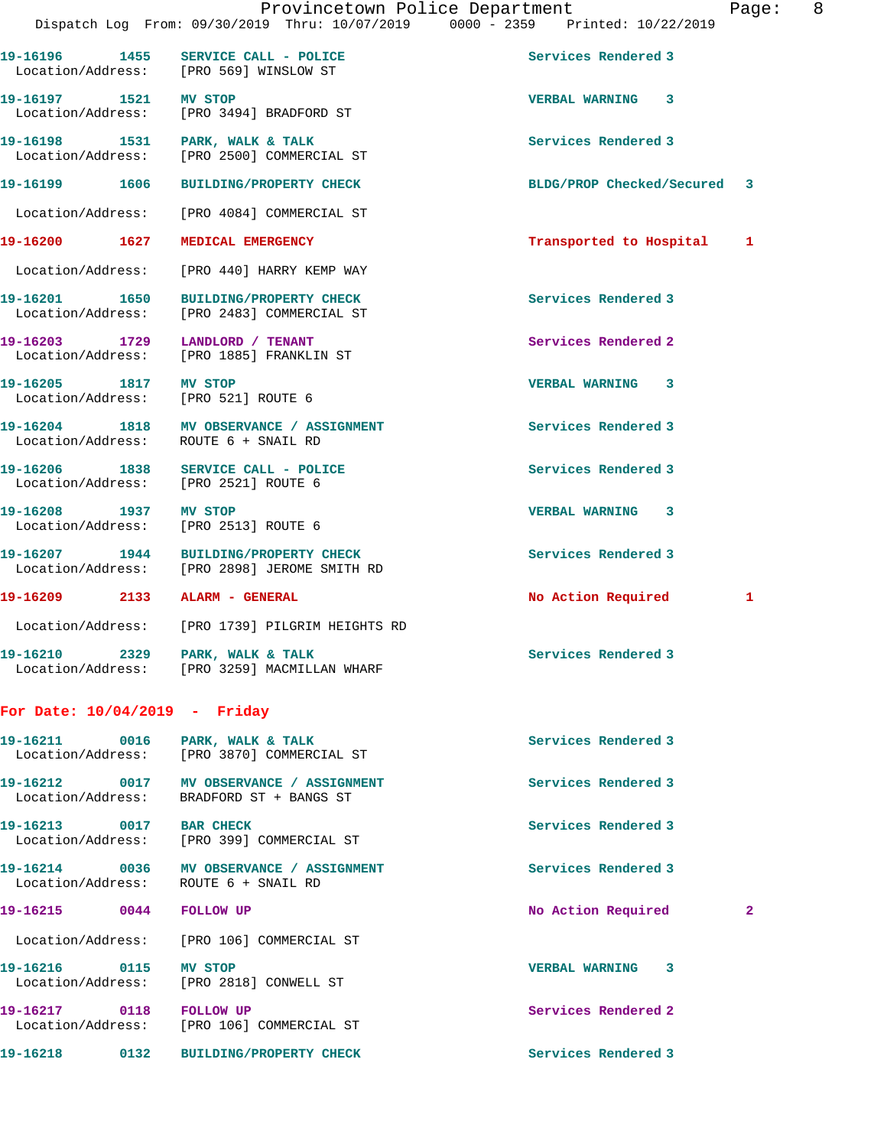**19-16196 1455 SERVICE CALL - POLICE Services Rendered 3** 

Location/Address: [PRO 569] WINSLOW ST

**19-16197 1521 MV STOP VERBAL WARNING 3**  Location/Address: [PRO 3494] BRADFORD ST **19-16198 1531 PARK, WALK & TALK Services Rendered 3**  Location/Address: [PRO 2500] COMMERCIAL ST **19-16199 1606 BUILDING/PROPERTY CHECK BLDG/PROP Checked/Secured 3** Location/Address: [PRO 4084] COMMERCIAL ST **19-16200 1627 MEDICAL EMERGENCY Transported to Hospital 1** Location/Address: [PRO 440] HARRY KEMP WAY **19-16201 1650 BUILDING/PROPERTY CHECK Services Rendered 3**  Location/Address: [PRO 2483] COMMERCIAL ST **19-16203 1729 LANDLORD / TENANT Services Rendered 2**  Location/Address: [PRO 1885] FRANKLIN ST **19-16205 1817 MV STOP VERBAL WARNING 3**  Location/Address: [PRO 521] ROUTE 6 **19-16204 1818 MV OBSERVANCE / ASSIGNMENT Services Rendered 3**  Location/Address: ROUTE 6 + SNAIL RD **19-16206 1838 SERVICE CALL - POLICE Services Rendered 3**  Location/Address: [PRO 2521] ROUTE 6 **19-16208 1937 MV STOP VERBAL WARNING 3**  Location/Address: [PRO 2513] ROUTE 6 **19-16207 1944 BUILDING/PROPERTY CHECK Services Rendered 3**  Location/Address: [PRO 2898] JEROME SMITH RD **19-16209 2133 ALARM - GENERAL No Action Required 1** Location/Address: [PRO 1739] PILGRIM HEIGHTS RD **19-16210 2329 PARK, WALK & TALK Services Rendered 3**  Location/Address: [PRO 3259] MACMILLAN WHARF **For Date: 10/04/2019 - Friday 19-16211 0016 PARK, WALK & TALK Services Rendered 3**  Location/Address: [PRO 3870] COMMERCIAL ST **19-16212 0017 MV OBSERVANCE / ASSIGNMENT Services Rendered 3**  Location/Address: BRADFORD ST + BANGS ST **19-16213 0017 BAR CHECK Services Rendered 3**  Location/Address: [PRO 399] COMMERCIAL ST **19-16214 0036 MV OBSERVANCE / ASSIGNMENT Services Rendered 3** 

Location/Address: ROUTE 6 + SNAIL RD

Location/Address: [PRO 106] COMMERCIAL ST

**19-16216 0115 MV STOP VERBAL WARNING 3** 

**19-16215 0044 FOLLOW UP No Action Required 2**

Location/Address: [PRO 2818] CONWELL ST

**19-16217 0118 FOLLOW UP Services Rendered 2**  Location/Address: [PRO 106] COMMERCIAL ST

**19-16218 0132 BUILDING/PROPERTY CHECK Services Rendered 3**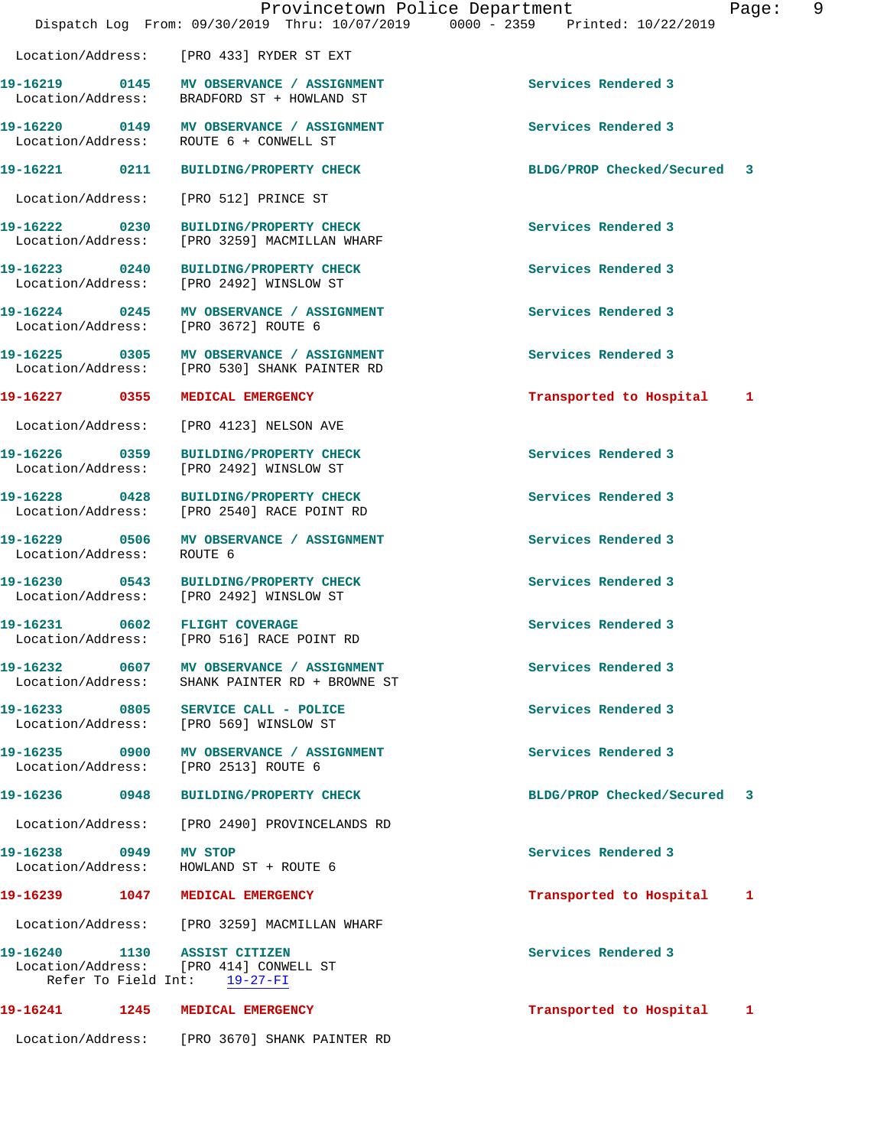|                                        | Provincetown Police Department<br>Dispatch Log From: 09/30/2019 Thru: 10/07/2019 0000 - 2359 Printed: 10/22/2019 |                             | Page: | - 9 |
|----------------------------------------|------------------------------------------------------------------------------------------------------------------|-----------------------------|-------|-----|
|                                        | Location/Address: [PRO 433] RYDER ST EXT                                                                         |                             |       |     |
|                                        | 19-16219 0145 MV OBSERVANCE / ASSIGNMENT<br>Location/Address: BRADFORD ST + HOWLAND ST                           | Services Rendered 3         |       |     |
| Location/Address: ROUTE 6 + CONWELL ST | 19-16220 0149 MV OBSERVANCE / ASSIGNMENT                                                                         | Services Rendered 3         |       |     |
|                                        | 19-16221 0211 BUILDING/PROPERTY CHECK                                                                            | BLDG/PROP Checked/Secured 3 |       |     |
| Location/Address: [PRO 512] PRINCE ST  |                                                                                                                  |                             |       |     |
|                                        | 19-16222 0230 BUILDING/PROPERTY CHECK<br>Location/Address: [PRO 3259] MACMILLAN WHARF                            | Services Rendered 3         |       |     |
|                                        | 19-16223 0240 BUILDING/PROPERTY CHECK<br>Location/Address: [PRO 2492] WINSLOW ST                                 | Services Rendered 3         |       |     |
| Location/Address: [PRO 3672] ROUTE 6   | 19-16224 0245 MV OBSERVANCE / ASSIGNMENT                                                                         | Services Rendered 3         |       |     |
|                                        | 19-16225 0305 MV OBSERVANCE / ASSIGNMENT<br>Location/Address: [PRO 530] SHANK PAINTER RD                         | Services Rendered 3         |       |     |
| 19-16227 0355 MEDICAL EMERGENCY        |                                                                                                                  | Transported to Hospital 1   |       |     |
|                                        | Location/Address: [PRO 4123] NELSON AVE                                                                          |                             |       |     |
|                                        | 19-16226 0359 BUILDING/PROPERTY CHECK<br>Location/Address: [PRO 2492] WINSLOW ST                                 | Services Rendered 3         |       |     |
|                                        | 19-16228 0428 BUILDING/PROPERTY CHECK<br>Location/Address: [PRO 2540] RACE POINT RD                              | Services Rendered 3         |       |     |
| Location/Address: ROUTE 6              | 19-16229 0506 MV OBSERVANCE / ASSIGNMENT                                                                         | Services Rendered 3         |       |     |
|                                        | 19-16230 0543 BUILDING/PROPERTY CHECK<br>Location/Address: [PRO 2492] WINSLOW ST                                 | Services Rendered 3         |       |     |
|                                        | 19-16231 0602 FLIGHT COVERAGE<br>Location/Address: [PRO 516] RACE POINT RD                                       | Services Rendered 3         |       |     |
| Location/Address:                      | SHANK PAINTER RD + BROWNE ST                                                                                     | Services Rendered 3         |       |     |
| Location/Address:                      | 19-16233 0805 SERVICE CALL - POLICE<br>[PRO 569] WINSLOW ST                                                      | Services Rendered 3         |       |     |
| Location/Address: [PRO 2513] ROUTE 6   | 19-16235 0900 MV OBSERVANCE / ASSIGNMENT                                                                         | Services Rendered 3         |       |     |
| 19-16236 0948                          | <b>BUILDING/PROPERTY CHECK</b>                                                                                   | BLDG/PROP Checked/Secured   | 3     |     |
| Location/Address:                      | [PRO 2490] PROVINCELANDS RD                                                                                      |                             |       |     |
| 19-16238 0949<br>Location/Address:     | MV STOP<br>HOWLAND ST + ROUTE 6                                                                                  | Services Rendered 3         |       |     |
| 19-16239                               | 1047 MEDICAL EMERGENCY                                                                                           | Transported to Hospital     | 1     |     |
|                                        | Location/Address: [PRO 3259] MACMILLAN WHARF                                                                     |                             |       |     |

**19-16240 1130 ASSIST CITIZEN Services Rendered 3**  Location/Address: [PRO 414] CONWELL ST Refer To Field Int: 19-27-FI

## **19-16241 1245 MEDICAL EMERGENCY Transported to Hospital 1**

Location/Address: [PRO 3670] SHANK PAINTER RD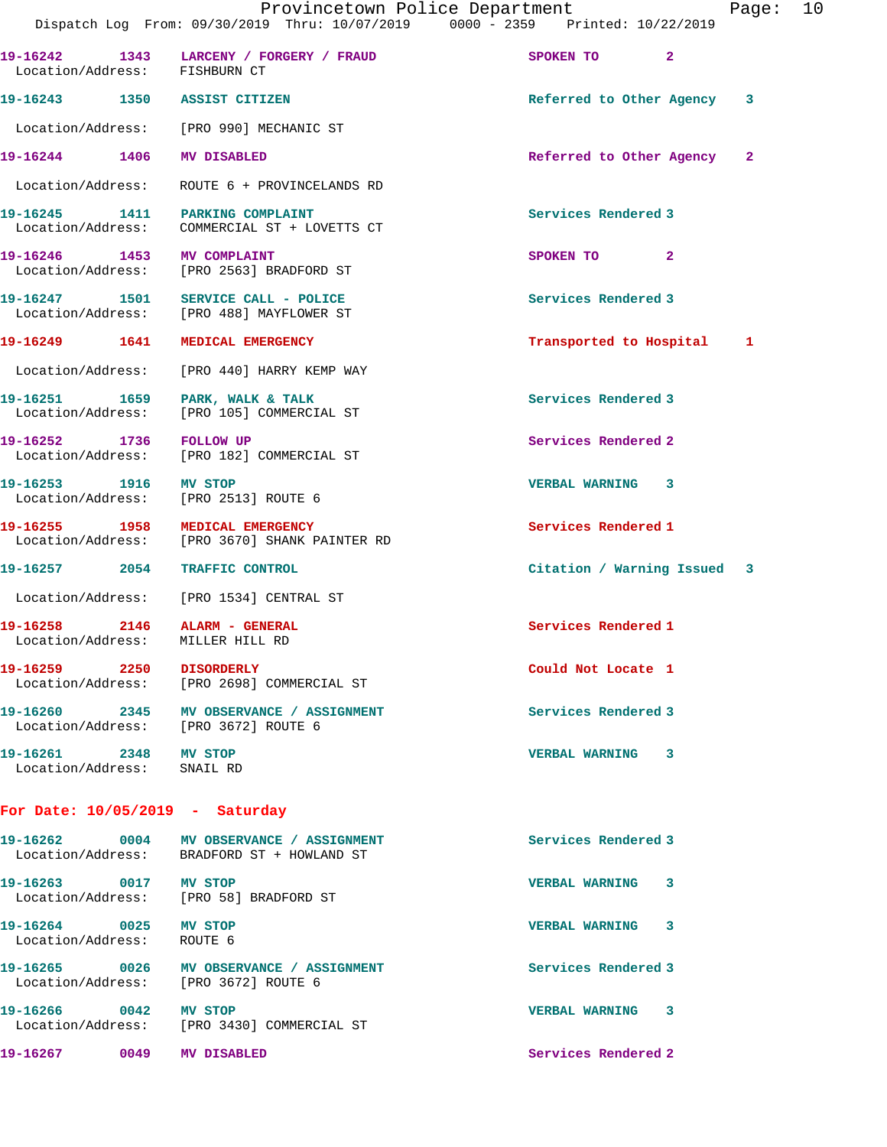|                                                     | Provincetown Police Department<br>Dispatch Log From: 09/30/2019 Thru: 10/07/2019 0000 - 2359 Printed: 10/22/2019 |                             | Page: 10 |  |
|-----------------------------------------------------|------------------------------------------------------------------------------------------------------------------|-----------------------------|----------|--|
| Location/Address: FISHBURN CT                       | 19-16242 1343 LARCENY / FORGERY / FRAUD                                                                          | SPOKEN TO 2                 |          |  |
|                                                     | 19-16243 1350 ASSIST CITIZEN                                                                                     | Referred to Other Agency 3  |          |  |
|                                                     | Location/Address: [PRO 990] MECHANIC ST                                                                          |                             |          |  |
| 19-16244 1406 MV DISABLED                           |                                                                                                                  | Referred to Other Agency 2  |          |  |
|                                                     | Location/Address: ROUTE 6 + PROVINCELANDS RD                                                                     |                             |          |  |
|                                                     | 19-16245 1411 PARKING COMPLAINT<br>Location/Address: COMMERCIAL ST + LOVETTS CT                                  | Services Rendered 3         |          |  |
| 19-16246 1453 MV COMPLAINT                          | Location/Address: [PRO 2563] BRADFORD ST                                                                         | SPOKEN TO 2                 |          |  |
|                                                     | 19-16247 1501 SERVICE CALL - POLICE<br>Location/Address: [PRO 488] MAYFLOWER ST                                  | Services Rendered 3         |          |  |
|                                                     | 19-16249 1641 MEDICAL EMERGENCY                                                                                  | Transported to Hospital 1   |          |  |
|                                                     | Location/Address: [PRO 440] HARRY KEMP WAY                                                                       |                             |          |  |
|                                                     | 19-16251 1659 PARK, WALK & TALK<br>Location/Address: [PRO 105] COMMERCIAL ST                                     | Services Rendered 3         |          |  |
| 19-16252 1736 FOLLOW UP                             | Location/Address: [PRO 182] COMMERCIAL ST                                                                        | Services Rendered 2         |          |  |
| 19-16253 1916 MV STOP                               | Location/Address: [PRO 2513] ROUTE 6                                                                             | <b>VERBAL WARNING 3</b>     |          |  |
|                                                     | 19-16255 1958 MEDICAL EMERGENCY<br>Location/Address: [PRO 3670] SHANK PAINTER RD                                 | Services Rendered 1         |          |  |
|                                                     | 19-16257 2054 TRAFFIC CONTROL                                                                                    | Citation / Warning Issued 3 |          |  |
|                                                     | Location/Address: [PRO 1534] CENTRAL ST                                                                          |                             |          |  |
|                                                     | 19-16258 2146 ALARM - GENERAL<br>Location/Address: MILLER HILL RD                                                | Services Rendered 1         |          |  |
|                                                     | Location/Address: [PRO 2698] COMMERCIAL ST                                                                       | Could Not Locate 1          |          |  |
|                                                     | 19-16260 2345 MV OBSERVANCE / ASSIGNMENT<br>Location/Address: [PRO 3672] ROUTE 6                                 | Services Rendered 3         |          |  |
| 19-16261 2348 MV STOP<br>Location/Address: SNAIL RD |                                                                                                                  | VERBAL WARNING 3            |          |  |
| For Date: $10/05/2019$ - Saturday                   |                                                                                                                  |                             |          |  |
|                                                     | 19-16262 0004 MV OBSERVANCE / ASSIGNMENT<br>Location/Address: BRADFORD ST + HOWLAND ST                           | Services Rendered 3         |          |  |
| 19-16263 0017 MV STOP                               | Location/Address: [PRO 58] BRADFORD ST                                                                           | VERBAL WARNING 3            |          |  |
| 19-16264 0025 MV STOP<br>Location/Address: ROUTE 6  |                                                                                                                  | VERBAL WARNING 3            |          |  |
|                                                     | 19-16265 0026 MV OBSERVANCE / ASSIGNMENT<br>Location/Address: [PRO 3672] ROUTE 6                                 | Services Rendered 3         |          |  |
| 19-16266 0042 MV STOP                               | Location/Address: [PRO 3430] COMMERCIAL ST                                                                       | VERBAL WARNING 3            |          |  |
| 19-16267 0049 MV DISABLED                           |                                                                                                                  | Services Rendered 2         |          |  |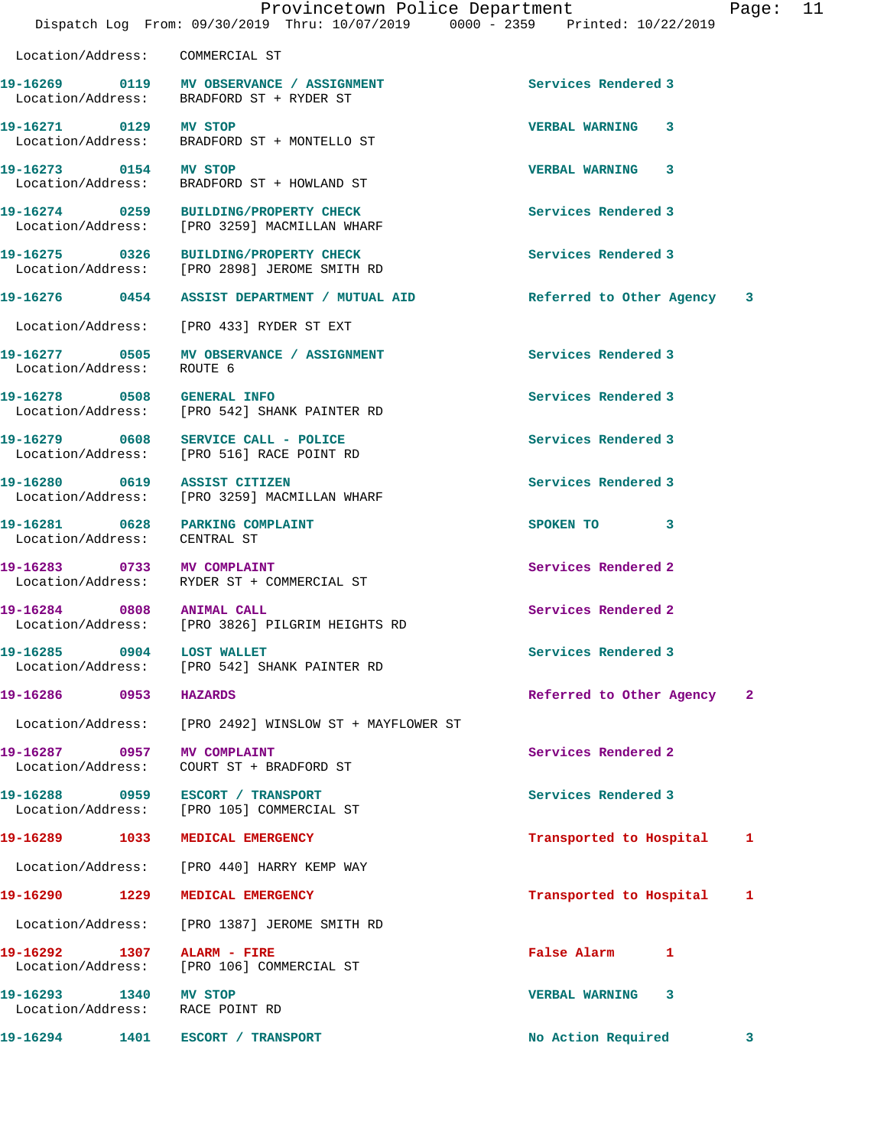Location/Address: COMMERCIAL ST

19-16269 **0119** MV OBSERVANCE / ASSIGNMENT **Services Rendered 3** Location/Address: BRADFORD ST + RYDER ST

**19-16271 0129 MV STOP VERBAL WARNING 3**  Location/Address: BRADFORD ST + MONTELLO ST

Location/Address: ROUTE 6

**19-16281** 0628 PARKING COMPLAINT **19-16281** SPOKEN TO 3 Location/Address: CENTRAL ST

**19-16287 0957 MV COMPLAINT Services Rendered 2** 

Location/Address:

Location/Address: BRADFORD ST + HOWLAND ST

Location/Address: [PRO 3259] MACMILLAN WHARF

**19-16275 0326 BUILDING/PROPERTY CHECK Services Rendered 3**  Location/Address: [PRO 2898] JEROME SMITH RD

**19-16276 0454 ASSIST DEPARTMENT / MUTUAL AID Referred to Other Agency 3**

Location/Address: [PRO 433] RYDER ST EXT

**19-16277 0505 MV OBSERVANCE / ASSIGNMENT Services Rendered 3** 

**19-16278 0508 GENERAL INFO Services Rendered 3**  Location/Address: [PRO 542] SHANK PAINTER RD

**19-16279 0608 SERVICE CALL - POLICE Services Rendered 3**  Location/Address: [PRO 516] RACE POINT RD

**19-16280 0619 ASSIST CITIZEN Services Rendered 3**  Location/Address: [PRO 3259] MACMILLAN WHARF

**19-16283 0733 MV COMPLAINT Services Rendered 2**  Location/Address: RYDER ST + COMMERCIAL ST

**19-16284 0808 ANIMAL CALL Services Rendered 2**  Location/Address: [PRO 3826] PILGRIM HEIGHTS RD

**19-16285 0904 LOST WALLET Services Rendered 3**  Location/Address: [PRO 542] SHANK PAINTER RD

Location/Address: [PRO 2492] WINSLOW ST + MAYFLOWER ST

Location/Address: COURT ST + BRADFORD ST

19-16288 0959 ESCORT / TRANSPORT **Services Rendered 3** and Services Rendered 3 and Services Rendered 3 and Services Rendered 3 and Services Rendered 3 and Services Rendered 3 and Services Rendered 3 and Services Rendered 3

Location/Address: [PRO 440] HARRY KEMP WAY

Location/Address: [PRO 1387] JEROME SMITH RD

**19-16292 1307 ALARM - FIRE False Alarm 1**  Location/Address: [PRO 106] COMMERCIAL ST

**19-16293 1340 MV STOP VERBAL WARNING 3**  Location/Address:

**19-16294 1401 ESCORT / TRANSPORT No Action Required 3**

**19-16273 0154 MV STOP VERBAL WARNING 3 19-16274 0259 BUILDING/PROPERTY CHECK Services Rendered 3** 

**19-16286 0953 HAZARDS Referred to Other Agency 2**

**19-16289 1033 MEDICAL EMERGENCY Transported to Hospital 1**

**19-16290 1229 MEDICAL EMERGENCY Transported to Hospital 1**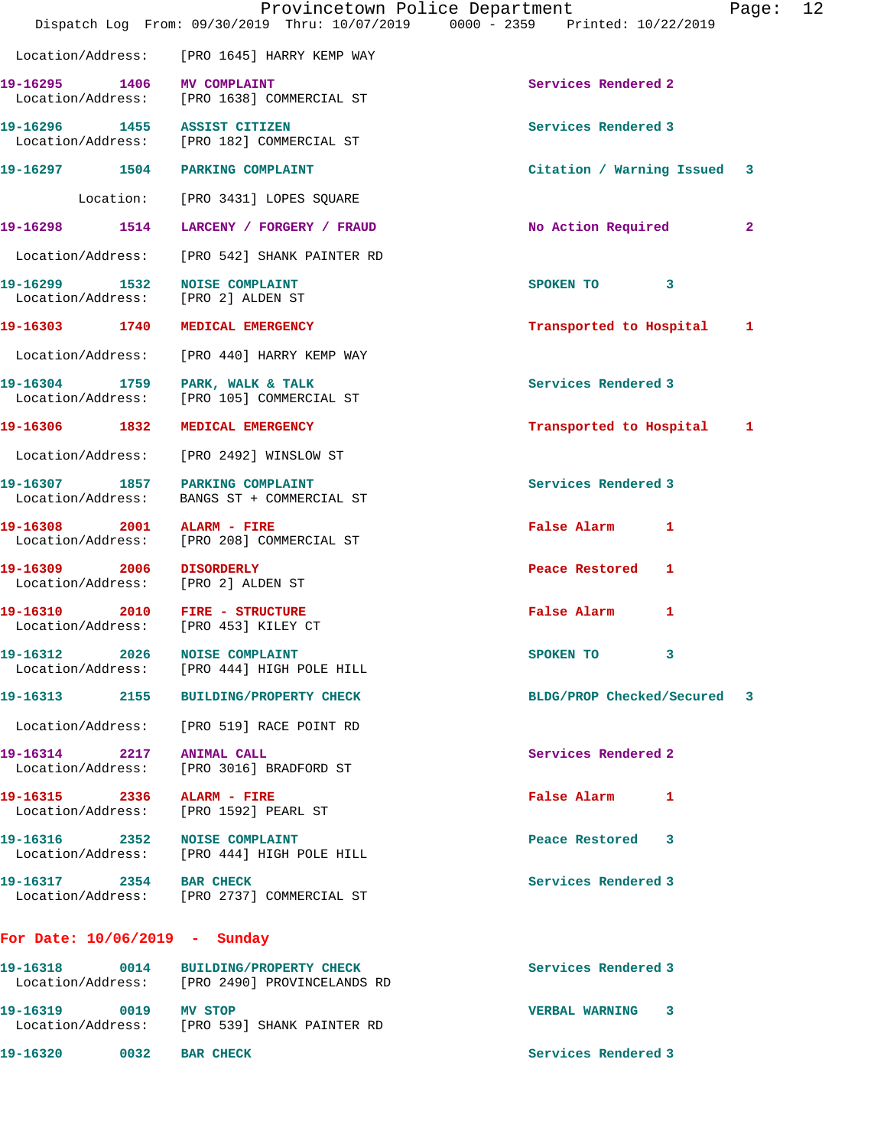|                                                                     | Dispatch Log From: 09/30/2019 Thru: 10/07/2019 0000 - 2359 Printed: 10/22/2019         | Provincetown Police Department<br>12<br>Page: |  |
|---------------------------------------------------------------------|----------------------------------------------------------------------------------------|-----------------------------------------------|--|
|                                                                     | Location/Address: [PRO 1645] HARRY KEMP WAY                                            |                                               |  |
| 19-16295 1406 MV COMPLAINT                                          | Location/Address: [PRO 1638] COMMERCIAL ST                                             | Services Rendered 2                           |  |
| 19-16296 1455 ASSIST CITIZEN                                        | Location/Address: [PRO 182] COMMERCIAL ST                                              | Services Rendered 3                           |  |
| 19-16297 1504 PARKING COMPLAINT                                     |                                                                                        | Citation / Warning Issued 3                   |  |
|                                                                     | Location: [PRO 3431] LOPES SQUARE                                                      |                                               |  |
|                                                                     | 19-16298 1514 LARCENY / FORGERY / FRAUD                                                | No Action Required<br>$\mathbf{2}$            |  |
|                                                                     | Location/Address: [PRO 542] SHANK PAINTER RD                                           |                                               |  |
| 19-16299 1532 NOISE COMPLAINT<br>Location/Address: [PRO 2] ALDEN ST |                                                                                        | SPOKEN TO 3                                   |  |
| 19-16303 1740 MEDICAL EMERGENCY                                     |                                                                                        | Transported to Hospital 1                     |  |
|                                                                     | Location/Address: [PRO 440] HARRY KEMP WAY                                             |                                               |  |
|                                                                     | 19-16304 1759 PARK, WALK & TALK<br>Location/Address: [PRO 105] COMMERCIAL ST           | Services Rendered 3                           |  |
| 19-16306 1832 MEDICAL EMERGENCY                                     |                                                                                        | Transported to Hospital 1                     |  |
|                                                                     | Location/Address: [PRO 2492] WINSLOW ST                                                |                                               |  |
| 19-16307 1857 PARKING COMPLAINT                                     | Location/Address: BANGS ST + COMMERCIAL ST                                             | Services Rendered 3                           |  |
| 19-16308 2001 ALARM - FIRE<br>Location/Address:                     | [PRO 208] COMMERCIAL ST                                                                | False Alarm 1                                 |  |
| 19-16309 2006 DISORDERLY<br>Location/Address: [PRO 2] ALDEN ST      |                                                                                        | Peace Restored 1                              |  |
| 19-16310 2010 FIRE - STRUCTURE                                      | Location/Address: [PRO 453] KILEY CT                                                   | False Alarm 1                                 |  |
| 19-16312 2026 NOISE COMPLAINT                                       | Location/Address: [PRO 444] HIGH POLE HILL                                             | SPOKEN TO 3                                   |  |
|                                                                     | 19-16313 2155 BUILDING/PROPERTY CHECK                                                  | BLDG/PROP Checked/Secured 3                   |  |
|                                                                     | Location/Address: [PRO 519] RACE POINT RD                                              |                                               |  |
| 19-16314 2217 ANIMAL CALL                                           | Location/Address: [PRO 3016] BRADFORD ST                                               | Services Rendered 2                           |  |
| 19-16315 2336 ALARM - FIRE                                          | Location/Address: [PRO 1592] PEARL ST                                                  | False Alarm 1                                 |  |
| 19-16316 2352 NOISE COMPLAINT                                       | Location/Address: [PRO 444] HIGH POLE HILL                                             | Peace Restored 3                              |  |
| 19-16317 2354 BAR CHECK                                             | Location/Address: [PRO 2737] COMMERCIAL ST                                             | Services Rendered 3                           |  |
| For Date: $10/06/2019$ - Sunday                                     |                                                                                        |                                               |  |
|                                                                     | 19-16318 0014 BUILDING/PROPERTY CHECK<br>Location/Address: [PRO 2490] PROVINCELANDS RD | Services Rendered 3                           |  |
| 19-16319 0019 MV STOP                                               |                                                                                        | VERBAL WARNING 3                              |  |

Location/Address: [PRO 539] SHANK PAINTER RD

**19-16320** 0032 BAR CHECK **Services Rendered 3**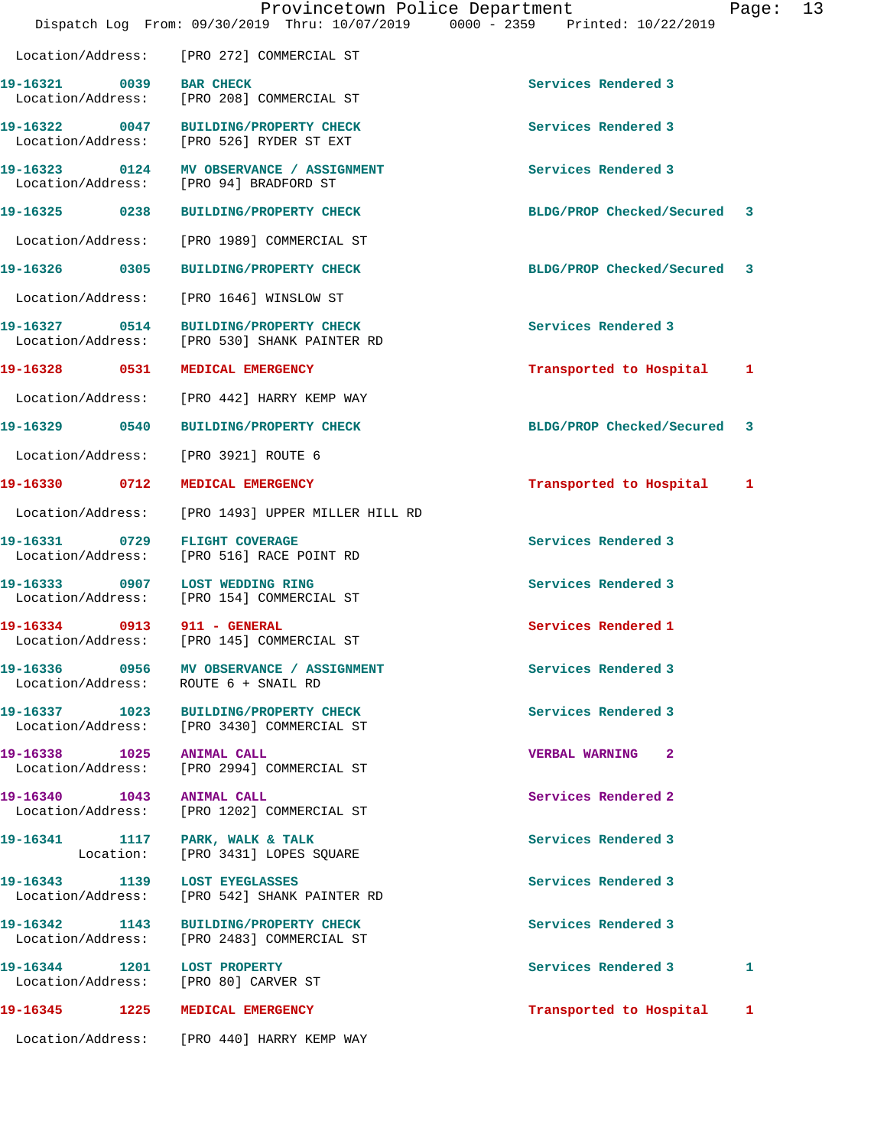|                                                  | Provincetown Police Department<br>Dispatch Log From: 09/30/2019 Thru: 10/07/2019 0000 - 2359 Printed: 10/22/2019 |                             | Page: | 13 |
|--------------------------------------------------|------------------------------------------------------------------------------------------------------------------|-----------------------------|-------|----|
|                                                  | Location/Address: [PRO 272] COMMERCIAL ST                                                                        |                             |       |    |
| 19-16321 0039 BAR CHECK                          | Location/Address: [PRO 208] COMMERCIAL ST                                                                        | Services Rendered 3         |       |    |
|                                                  | 19-16322 0047 BUILDING/PROPERTY CHECK<br>Location/Address: [PRO 526] RYDER ST EXT                                | Services Rendered 3         |       |    |
|                                                  | 19-16323 0124 MV OBSERVANCE / ASSIGNMENT<br>Location/Address: [PRO 94] BRADFORD ST                               | Services Rendered 3         |       |    |
|                                                  | 19-16325 0238 BUILDING/PROPERTY CHECK                                                                            | BLDG/PROP Checked/Secured 3 |       |    |
|                                                  | Location/Address: [PRO 1989] COMMERCIAL ST                                                                       |                             |       |    |
|                                                  | 19-16326 0305 BUILDING/PROPERTY CHECK                                                                            | BLDG/PROP Checked/Secured 3 |       |    |
|                                                  | Location/Address: [PRO 1646] WINSLOW ST                                                                          |                             |       |    |
|                                                  | 19-16327 0514 BUILDING/PROPERTY CHECK<br>Location/Address: [PRO 530] SHANK PAINTER RD                            | Services Rendered 3         |       |    |
|                                                  | 19-16328 0531 MEDICAL EMERGENCY                                                                                  | Transported to Hospital 1   |       |    |
|                                                  | Location/Address: [PRO 442] HARRY KEMP WAY                                                                       |                             |       |    |
|                                                  |                                                                                                                  | BLDG/PROP Checked/Secured 3 |       |    |
| Location/Address:                                | [PRO 3921] ROUTE 6                                                                                               |                             |       |    |
| 19-16330 0712                                    | MEDICAL EMERGENCY                                                                                                | Transported to Hospital 1   |       |    |
|                                                  | Location/Address: [PRO 1493] UPPER MILLER HILL RD                                                                |                             |       |    |
| 19-16331 0729<br>Location/Address:               | <b>FLIGHT COVERAGE</b><br>[PRO 516] RACE POINT RD                                                                | Services Rendered 3         |       |    |
|                                                  | 19-16333 0907 LOST WEDDING RING<br>Location/Address: [PRO 154] COMMERCIAL ST                                     | Services Rendered 3         |       |    |
| 19-16334 0913 911 - GENERAL<br>Location/Address: | [PRO 145] COMMERCIAL ST                                                                                          | Services Rendered 1         |       |    |
|                                                  | 19-16336 0956 MV OBSERVANCE / ASSIGNMENT<br>Location/Address: ROUTE 6 + SNAIL RD                                 | Services Rendered 3         |       |    |
|                                                  | 19-16337 1023 BUILDING/PROPERTY CHECK<br>Location/Address: [PRO 3430] COMMERCIAL ST                              | Services Rendered 3         |       |    |
| 19-16338 1025 ANIMAL CALL                        | Location/Address: [PRO 2994] COMMERCIAL ST                                                                       | <b>VERBAL WARNING 2</b>     |       |    |
| 19-16340 1043 ANIMAL CALL                        | Location/Address: [PRO 1202] COMMERCIAL ST                                                                       | Services Rendered 2         |       |    |
|                                                  | 19-16341 1117 PARK, WALK & TALK<br>Location: [PRO 3431] LOPES SQUARE                                             | Services Rendered 3         |       |    |
| Location/Address:                                | 19-16343 1139 LOST EYEGLASSES<br>[PRO 542] SHANK PAINTER RD                                                      | Services Rendered 3         |       |    |
|                                                  | 19-16342 1143 BUILDING/PROPERTY CHECK<br>Location/Address: [PRO 2483] COMMERCIAL ST                              | Services Rendered 3         |       |    |
| 19-16344 1201 LOST PROPERTY                      | Location/Address: [PRO 80] CARVER ST                                                                             | Services Rendered 3         | 1     |    |
|                                                  | 19-16345 1225 MEDICAL EMERGENCY                                                                                  | Transported to Hospital     | 1     |    |

Location/Address: [PRO 440] HARRY KEMP WAY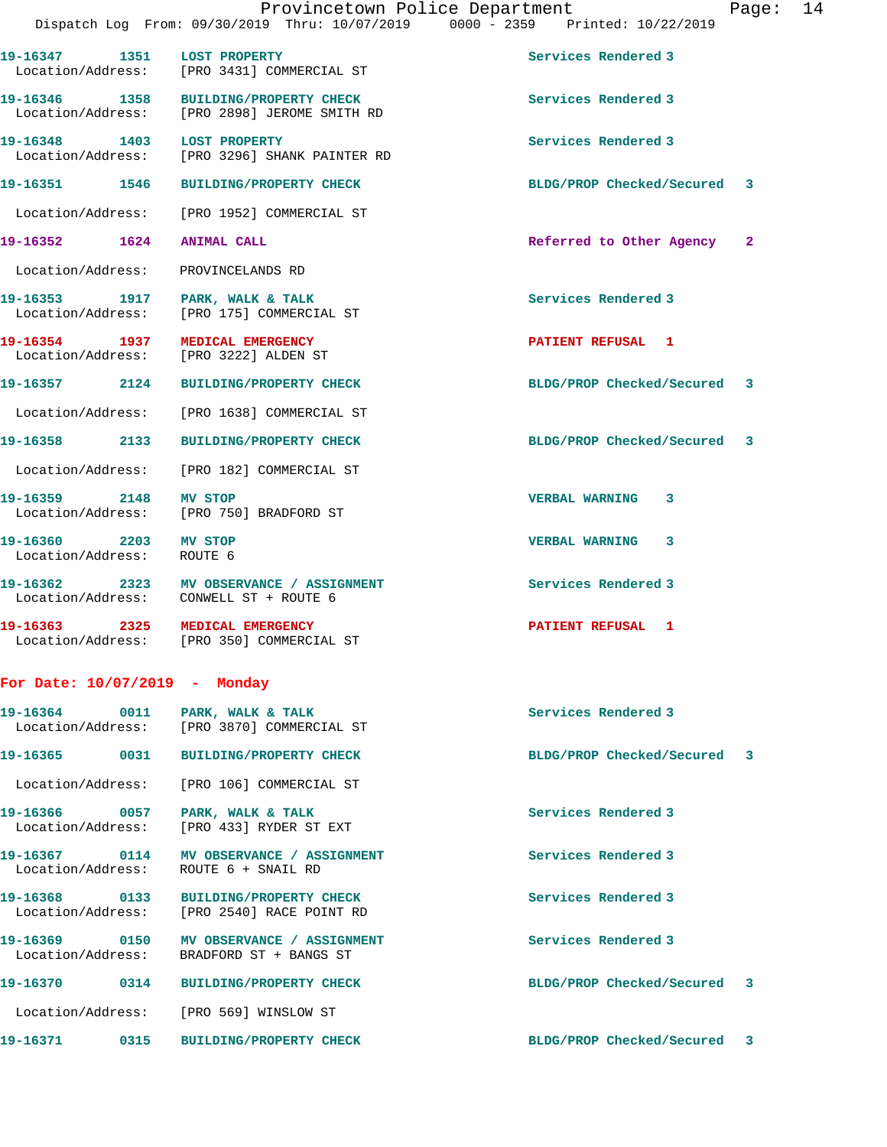|                                                    | Provincetown Police Department<br>Dispatch Log From: 09/30/2019 Thru: 10/07/2019 0000 - 2359 Printed: 10/22/2019 |                             | Page: 14 |  |
|----------------------------------------------------|------------------------------------------------------------------------------------------------------------------|-----------------------------|----------|--|
|                                                    | 19-16347 1351 LOST PROPERTY<br>Location/Address: [PRO 3431] COMMERCIAL ST                                        | Services Rendered 3         |          |  |
|                                                    | 19-16346 1358 BUILDING/PROPERTY CHECK<br>Location/Address: [PRO 2898] JEROME SMITH RD                            | Services Rendered 3         |          |  |
| 19-16348 1403 LOST PROPERTY                        | Location/Address: [PRO 3296] SHANK PAINTER RD                                                                    | Services Rendered 3         |          |  |
|                                                    | 19-16351 1546 BUILDING/PROPERTY CHECK                                                                            | BLDG/PROP Checked/Secured 3 |          |  |
|                                                    | Location/Address: [PRO 1952] COMMERCIAL ST                                                                       |                             |          |  |
| 19-16352 1624 ANIMAL CALL                          |                                                                                                                  | Referred to Other Agency 2  |          |  |
| Location/Address: PROVINCELANDS RD                 |                                                                                                                  |                             |          |  |
|                                                    | 19-16353 1917 PARK, WALK & TALK<br>Location/Address: [PRO 175] COMMERCIAL ST                                     | Services Rendered 3         |          |  |
|                                                    | 19-16354 1937 MEDICAL EMERGENCY<br>Location/Address: [PRO 3222] ALDEN ST                                         | PATIENT REFUSAL 1           |          |  |
|                                                    | 19-16357 2124 BUILDING/PROPERTY CHECK                                                                            | BLDG/PROP Checked/Secured 3 |          |  |
|                                                    | Location/Address: [PRO 1638] COMMERCIAL ST                                                                       |                             |          |  |
|                                                    | 19-16358 2133 BUILDING/PROPERTY CHECK                                                                            | BLDG/PROP Checked/Secured 3 |          |  |
|                                                    | Location/Address: [PRO 182] COMMERCIAL ST                                                                        |                             |          |  |
| 19-16359 2148 MV STOP                              | Location/Address: [PRO 750] BRADFORD ST                                                                          | VERBAL WARNING 3            |          |  |
| 19-16360 2203 MV STOP<br>Location/Address: ROUTE 6 |                                                                                                                  | VERBAL WARNING 3            |          |  |
|                                                    | 19-16362 2323 MV OBSERVANCE / ASSIGNMENT<br>Location/Address: CONWELL ST + ROUTE 6                               | Services Rendered 3         |          |  |
|                                                    | 19-16363 2325 MEDICAL EMERGENCY<br>Location/Address: [PRO 350] COMMERCIAL ST                                     | PATIENT REFUSAL 1           |          |  |
| For Date: $10/07/2019$ - Monday                    |                                                                                                                  |                             |          |  |
|                                                    | Location/Address: [PRO 3870] COMMERCIAL ST                                                                       | Services Rendered 3         |          |  |
|                                                    |                                                                                                                  | BLDG/PROP Checked/Secured 3 |          |  |
|                                                    | Location/Address: [PRO 106] COMMERCIAL ST                                                                        |                             |          |  |
|                                                    | 19-16366 0057 PARK, WALK & TALK<br>Location/Address: [PRO 433] RYDER ST EXT                                      | Services Rendered 3         |          |  |
| Location/Address:                                  | 19-16367 0114 MV OBSERVANCE / ASSIGNMENT<br>ROUTE 6 + SNAIL RD                                                   | Services Rendered 3         |          |  |
|                                                    | 19-16368 0133 BUILDING/PROPERTY CHECK<br>Location/Address: [PRO 2540] RACE POINT RD                              | Services Rendered 3         |          |  |
|                                                    | 19-16369 0150 MV OBSERVANCE / ASSIGNMENT<br>Location/Address: BRADFORD ST + BANGS ST                             | Services Rendered 3         |          |  |
|                                                    |                                                                                                                  | BLDG/PROP Checked/Secured 3 |          |  |
|                                                    | Location/Address: [PRO 569] WINSLOW ST                                                                           |                             |          |  |
|                                                    | 19-16371              0315       BUILDING/PROPERTY CHECK                                                         | BLDG/PROP Checked/Secured 3 |          |  |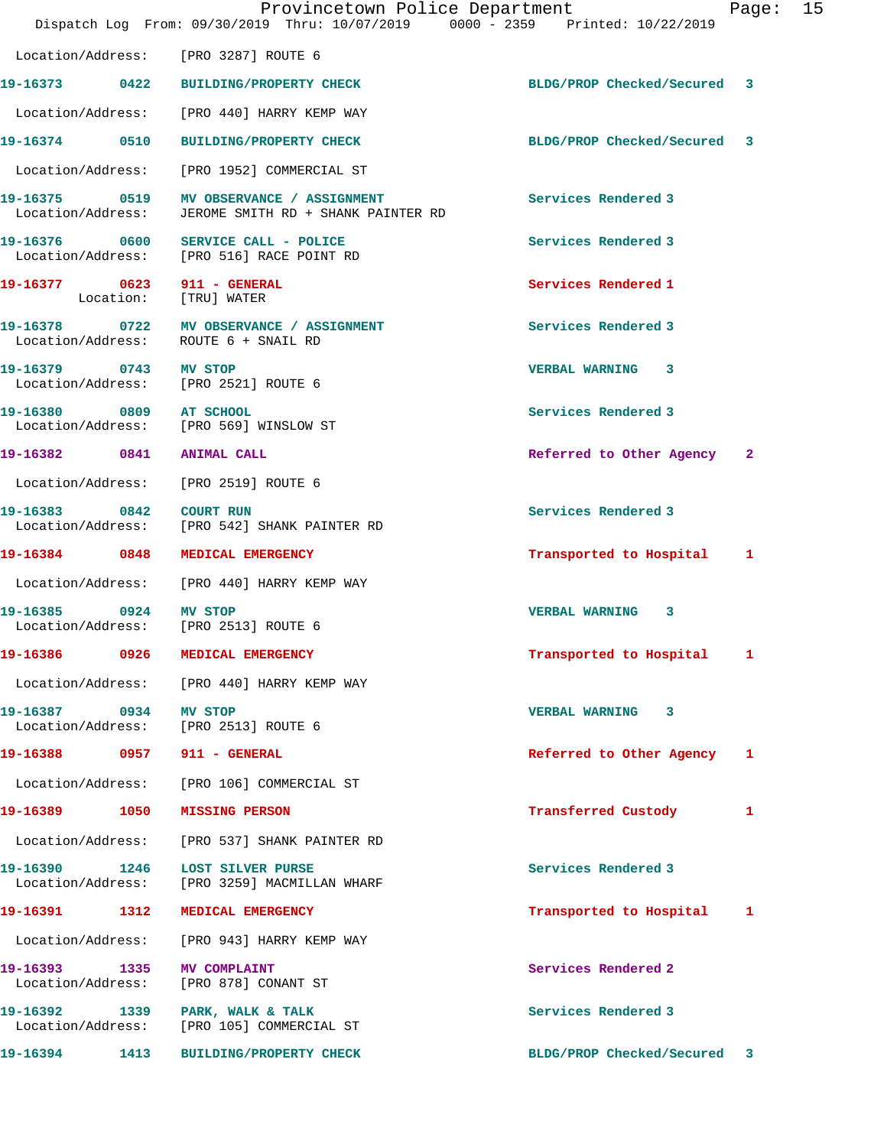|                         | Provincetown Police Department<br>Dispatch Log From: 09/30/2019 Thru: 10/07/2019 0000 - 2359 Printed: 10/22/2019 |                             | Page: 15 |  |
|-------------------------|------------------------------------------------------------------------------------------------------------------|-----------------------------|----------|--|
|                         | Location/Address: [PRO 3287] ROUTE 6                                                                             |                             |          |  |
|                         | 19-16373 0422 BUILDING/PROPERTY CHECK                                                                            | BLDG/PROP Checked/Secured 3 |          |  |
|                         | Location/Address: [PRO 440] HARRY KEMP WAY                                                                       |                             |          |  |
|                         | 19-16374 0510 BUILDING/PROPERTY CHECK                                                                            | BLDG/PROP Checked/Secured 3 |          |  |
|                         | Location/Address: [PRO 1952] COMMERCIAL ST                                                                       |                             |          |  |
| Location/Address:       | 19-16375 0519 MV OBSERVANCE / ASSIGNMENT<br>JEROME SMITH RD + SHANK PAINTER RD                                   | Services Rendered 3         |          |  |
|                         | 19-16376 0600 SERVICE CALL - POLICE<br>Location/Address: [PRO 516] RACE POINT RD                                 | Services Rendered 3         |          |  |
|                         | 19-16377 0623 911 - GENERAL<br>Location: [TRU] WATER                                                             | Services Rendered 1         |          |  |
|                         | 19-16378 0722 MV OBSERVANCE / ASSIGNMENT<br>Location/Address: ROUTE 6 + SNAIL RD                                 | Services Rendered 3         |          |  |
| 19-16379 0743 MV STOP   | Location/Address: [PRO 2521] ROUTE 6                                                                             | <b>VERBAL WARNING 3</b>     |          |  |
| 19-16380 0809 AT SCHOOL | Location/Address: [PRO 569] WINSLOW ST                                                                           | Services Rendered 3         |          |  |
|                         | 19-16382 0841 ANIMAL CALL                                                                                        | Referred to Other Agency 2  |          |  |
|                         | Location/Address: [PRO 2519] ROUTE 6                                                                             |                             |          |  |
| 19-16383 0842 COURT RUN | Location/Address: [PRO 542] SHANK PAINTER RD                                                                     | Services Rendered 3         |          |  |
|                         | 19-16384 0848 MEDICAL EMERGENCY                                                                                  | Transported to Hospital 1   |          |  |
|                         | Location/Address: [PRO 440] HARRY KEMP WAY                                                                       |                             |          |  |
| 19-16385 0924 MV STOP   | Location/Address: [PRO 2513] ROUTE 6                                                                             | VERBAL WARNING 3            |          |  |
| 19-16386 0926           | <b>MEDICAL EMERGENCY</b>                                                                                         | Transported to Hospital 1   |          |  |
|                         | Location/Address: [PRO 440] HARRY KEMP WAY                                                                       |                             |          |  |
| 19-16387 0934 MV STOP   | Location/Address: [PRO 2513] ROUTE 6                                                                             | VERBAL WARNING 3            |          |  |
|                         | 19-16388 0957 911 - GENERAL                                                                                      | Referred to Other Agency 1  |          |  |
|                         | Location/Address: [PRO 106] COMMERCIAL ST                                                                        |                             |          |  |
|                         | 19-16389 1050 MISSING PERSON                                                                                     | Transferred Custody         | 1        |  |
|                         | Location/Address: [PRO 537] SHANK PAINTER RD                                                                     |                             |          |  |
| 19-16390 1246           | <b>LOST SILVER PURSE</b><br>Location/Address: [PRO 3259] MACMILLAN WHARF                                         | Services Rendered 3         |          |  |
|                         | 19-16391 1312 MEDICAL EMERGENCY                                                                                  | Transported to Hospital 1   |          |  |
|                         | Location/Address: [PRO 943] HARRY KEMP WAY                                                                       |                             |          |  |
| Location/Address:       | 19-16393 1335 MV COMPLAINT<br>[PRO 878] CONANT ST                                                                | Services Rendered 2         |          |  |
|                         | 19-16392 1339 PARK, WALK & TALK<br>Location/Address: [PRO 105] COMMERCIAL ST                                     | Services Rendered 3         |          |  |
|                         | 19-16394 1413 BUILDING/PROPERTY CHECK                                                                            | BLDG/PROP Checked/Secured 3 |          |  |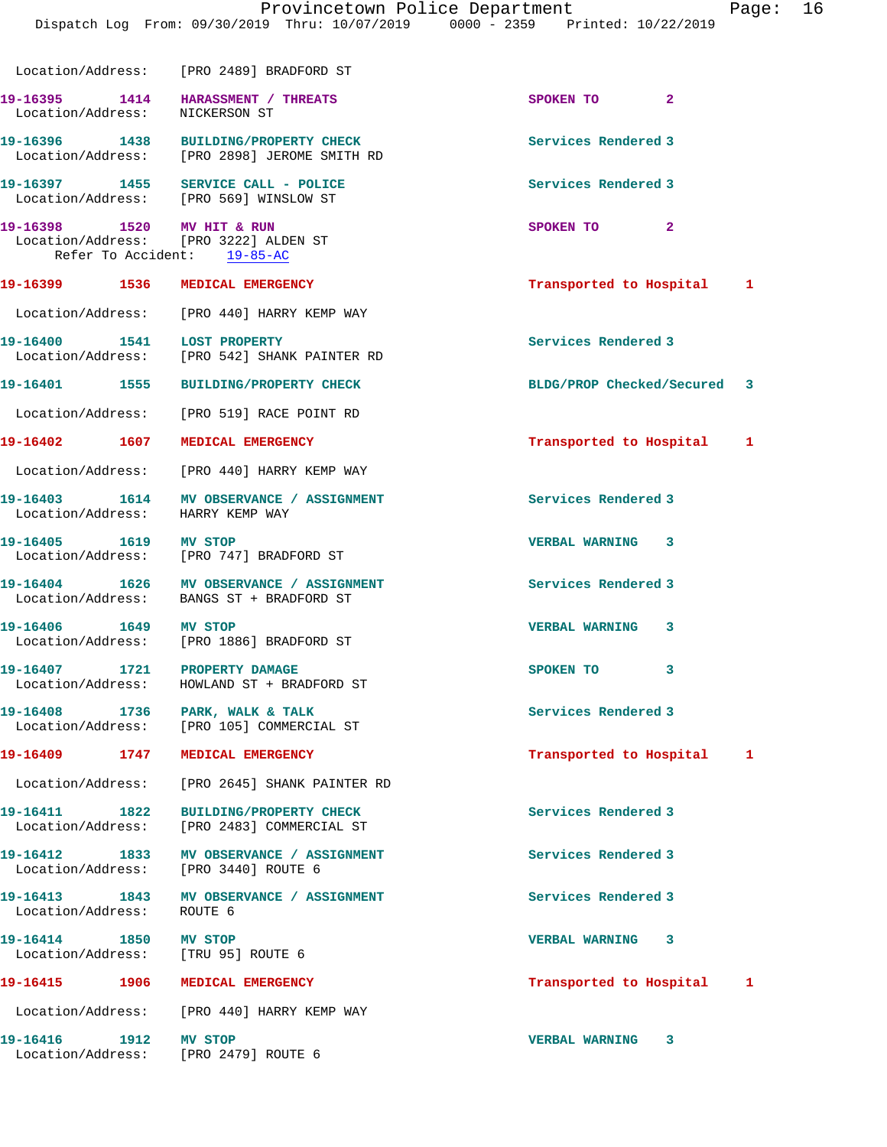|                                       | Dispatch Log From: 09/30/2019 Thru: 10/07/2019 0000 - 2359 Printed: 10/22/2019                   | Provincetown Police Department<br>Page: 16 |
|---------------------------------------|--------------------------------------------------------------------------------------------------|--------------------------------------------|
|                                       | Location/Address: [PRO 2489] BRADFORD ST                                                         |                                            |
| Location/Address: NICKERSON ST        | 19-16395 1414 HARASSMENT / THREATS                                                               | SPOKEN TO 2                                |
|                                       | 19-16396 1438 BUILDING/PROPERTY CHECK<br>Location/Address: [PRO 2898] JEROME SMITH RD            | Services Rendered 3                        |
|                                       | 19-16397 1455 SERVICE CALL - POLICE<br>Location/Address: [PRO 569] WINSLOW ST                    | Services Rendered 3                        |
| 19-16398 1520 MV HIT & RUN            | Location/Address: [PRO 3222] ALDEN ST<br>Refer To Accident: 19-85-AC                             | SPOKEN TO 2                                |
|                                       | 19-16399 1536 MEDICAL EMERGENCY                                                                  | Transported to Hospital 1                  |
|                                       | Location/Address: [PRO 440] HARRY KEMP WAY                                                       |                                            |
| 19-16400 1541 LOST PROPERTY           | Location/Address: [PRO 542] SHANK PAINTER RD                                                     | Services Rendered 3                        |
|                                       | 19-16401 1555 BUILDING/PROPERTY CHECK                                                            | BLDG/PROP Checked/Secured 3                |
|                                       | Location/Address: [PRO 519] RACE POINT RD                                                        |                                            |
|                                       | 19-16402 1607 MEDICAL EMERGENCY                                                                  | Transported to Hospital 1                  |
|                                       | Location/Address: [PRO 440] HARRY KEMP WAY                                                       |                                            |
| Location/Address: HARRY KEMP WAY      | 19-16403 1614 MV OBSERVANCE / ASSIGNMENT                                                         | Services Rendered 3                        |
| 19-16405 1619 MV STOP                 | Location/Address: [PRO 747] BRADFORD ST                                                          | VERBAL WARNING 3                           |
|                                       | 19-16404   1626   MV   OBSERVANCE / ASSIGNMENT<br>Location/Address:   BANGS   ST + BRADFORD   ST | Services Rendered 3                        |
| 19-16406 1649 MV STOP                 | Location/Address: [PRO 1886] BRADFORD ST                                                         | <b>VERBAL WARNING 3</b>                    |
| 19-16407<br>1721<br>Location/Address: | PROPERTY DAMAGE<br>HOWLAND ST + BRADFORD ST                                                      | 3<br>SPOKEN TO                             |
|                                       | 19-16408 1736 PARK, WALK & TALK<br>Location/Address: [PRO 105] COMMERCIAL ST                     | Services Rendered 3                        |
| 19-16409 1747                         | MEDICAL EMERGENCY                                                                                | Transported to Hospital<br>1               |
| Location/Address:                     | [PRO 2645] SHANK PAINTER RD                                                                      |                                            |
| 19-16411 1822<br>Location/Address:    | <b>BUILDING/PROPERTY CHECK</b><br>[PRO 2483] COMMERCIAL ST                                       | Services Rendered 3                        |
|                                       | 19-16412 1833 MV OBSERVANCE / ASSIGNMENT<br>Location/Address: [PRO 3440] ROUTE 6                 | Services Rendered 3                        |

19-16413 1843 MV OBSERVANCE / ASSIGNMENT **Services Rendered 3** Location/Address: ROUTE 6

**19-16414 1850 MV STOP VERBAL WARNING 3**  Location/Address: [TRU 95] ROUTE 6

Location/Address: [PRO 440] HARRY KEMP WAY

**19-16416 1912 MV STOP VERBAL WARNING 3**  Location/Address: [PRO 2479] ROUTE 6

19-16415 1906 MEDICAL EMERGENCY **19-16415** 1906 1906 MEDICAL EMERGENCY